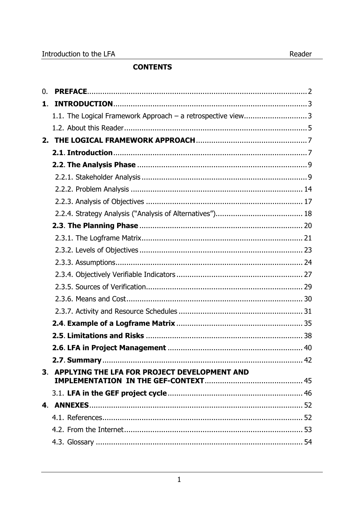# **CONTENTS**

| 0. |                                                             |
|----|-------------------------------------------------------------|
| 1. |                                                             |
|    | 1.1. The Logical Framework Approach - a retrospective view3 |
|    |                                                             |
|    |                                                             |
|    |                                                             |
|    |                                                             |
|    |                                                             |
|    |                                                             |
|    |                                                             |
|    |                                                             |
|    |                                                             |
|    |                                                             |
|    |                                                             |
|    |                                                             |
|    |                                                             |
|    |                                                             |
|    |                                                             |
|    |                                                             |
|    |                                                             |
|    |                                                             |
|    |                                                             |
|    |                                                             |
|    | 3. APPLYING THE LFA FOR PROJECT DEVELOPMENT AND             |
|    |                                                             |
|    |                                                             |
|    |                                                             |
|    |                                                             |
|    |                                                             |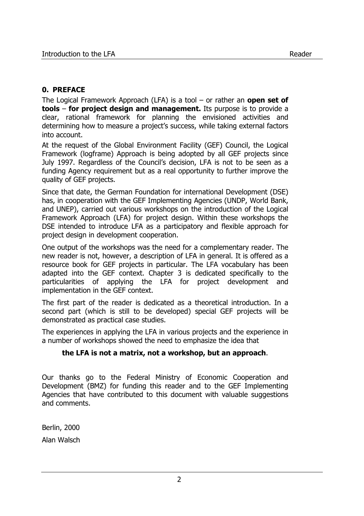## **0. PREFACE**

The Logical Framework Approach (LFA) is a tool – or rather an **open set of tools** – **for project design and management.** Its purpose is to provide a clear, rational framework for planning the envisioned activities and determining how to measure a project's success, while taking external factors into account.

At the request of the Global Environment Facility (GEF) Council, the Logical Framework (logframe) Approach is being adopted by all GEF projects since July 1997. Regardless of the Council's decision, LFA is not to be seen as a funding Agency requirement but as a real opportunity to further improve the quality of GEF projects.

Since that date, the German Foundation for international Development (DSE) has, in cooperation with the GEF Implementing Agencies (UNDP, World Bank, and UNEP), carried out various workshops on the introduction of the Logical Framework Approach (LFA) for project design. Within these workshops the DSE intended to introduce LFA as a participatory and flexible approach for project design in development cooperation.

One output of the workshops was the need for a complementary reader. The new reader is not, however, a description of LFA in general. It is offered as a resource book for GEF projects in particular. The LFA vocabulary has been adapted into the GEF context. Chapter 3 is dedicated specifically to the particularities of applying the LFA for project development and implementation in the GEF context.

The first part of the reader is dedicated as a theoretical introduction. In a second part (which is still to be developed) special GEF projects will be demonstrated as practical case studies.

The experiences in applying the LFA in various projects and the experience in a number of workshops showed the need to emphasize the idea that

#### **the LFA is not a matrix, not a workshop, but an approach**.

Our thanks go to the Federal Ministry of Economic Cooperation and Development (BMZ) for funding this reader and to the GEF Implementing Agencies that have contributed to this document with valuable suggestions and comments.

Berlin, 2000 Alan Walsch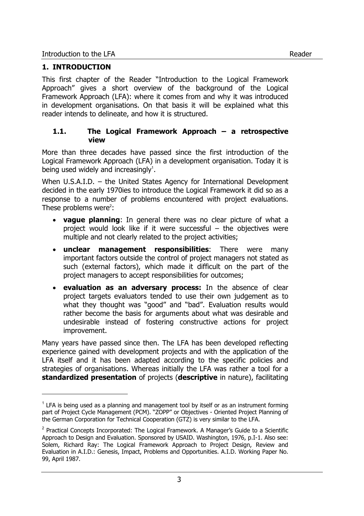j

This first chapter of the Reader "Introduction to the Logical Framework Approach" gives a short overview of the background of the Logical Framework Approach (LFA): where it comes from and why it was introduced in development organisations. On that basis it will be explained what this reader intends to delineate, and how it is structured.

## **1.1. The Logical Framework Approach – a retrospective view**

More than three decades have passed since the first introduction of the Logical Framework Approach (LFA) in a development organisation. Today it is being used widely and increasingly $1$ .

When U.S.A.I.D. – the United States Agency for International Development decided in the early 1970ies to introduce the Logical Framework it did so as a response to a number of problems encountered with project evaluations. These problems were<sup>2</sup>:

- **vague planning**: In general there was no clear picture of what a project would look like if it were successful – the objectives were multiple and not clearly related to the project activities;
- **unclear management responsibilities**: There were many important factors outside the control of project managers not stated as such (external factors), which made it difficult on the part of the project managers to accept responsibilities for outcomes;
- **evaluation as an adversary process:** In the absence of clear project targets evaluators tended to use their own judgement as to what they thought was "good" and "bad". Evaluation results would rather become the basis for arguments about what was desirable and undesirable instead of fostering constructive actions for project improvement.

Many years have passed since then. The LFA has been developed reflecting experience gained with development projects and with the application of the LFA itself and it has been adapted according to the specific policies and strategies of organisations. Whereas initially the LFA was rather a tool for a **standardized presentation** of projects (**descriptive** in nature), facilitating

 $<sup>1</sup>$  LFA is being used as a planning and management tool by itself or as an instrument forming</sup> part of Project Cycle Management (PCM). "ZOPP" or Objectives - Oriented Project Planning of the German Corporation for Technical Cooperation (GTZ) is very similar to the LFA.

 $2$  Practical Concepts Incorporated: The Logical Framework. A Manager's Guide to a Scientific Approach to Design and Evaluation. Sponsored by USAID. Washington, 1976, p.I-1. Also see: Solem, Richard Ray: The Logical Framework Approach to Project Design, Review and Evaluation in A.I.D.: Genesis, Impact, Problems and Opportunities. A.I.D. Working Paper No. 99, April 1987.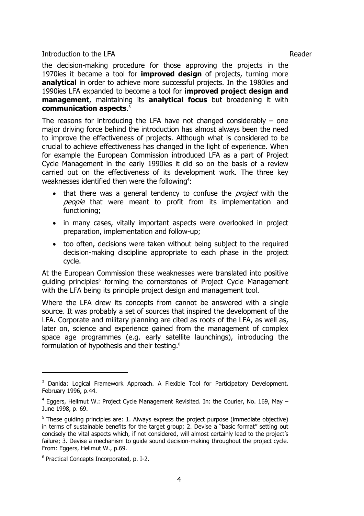the decision-making procedure for those approving the projects in the 1970ies it became a tool for **improved design** of projects, turning more **analytical** in order to achieve more successful projects. In the 1980ies and 1990ies LFA expanded to become a tool for **improved project design and management**, maintaining its **analytical focus** but broadening it with **communication aspects**. 3

The reasons for introducing the LFA have not changed considerably  $-$  one major driving force behind the introduction has almost always been the need to improve the effectiveness of projects. Although what is considered to be crucial to achieve effectiveness has changed in the light of experience. When for example the European Commission introduced LFA as a part of Project Cycle Management in the early 1990ies it did so on the basis of a review carried out on the effectiveness of its development work. The three key weaknesses identified then were the following<sup>4</sup>:

- that there was a general tendency to confuse the *project* with the people that were meant to profit from its implementation and functioning;
- in many cases, vitally important aspects were overlooked in project preparation, implementation and follow-up;
- too often, decisions were taken without being subject to the required decision-making discipline appropriate to each phase in the project cycle.

At the European Commission these weaknesses were translated into positive guiding principles<sup>5</sup> forming the cornerstones of Project Cycle Management with the LFA being its principle project design and management tool.

Where the LFA drew its concepts from cannot be answered with a single source. It was probably a set of sources that inspired the development of the LFA. Corporate and military planning are cited as roots of the LFA, as well as, later on, science and experience gained from the management of complex space age programmes (e.g. early satellite launchings), introducing the formulation of hypothesis and their testing.<sup>6</sup>

-

<sup>&</sup>lt;sup>3</sup> Danida: Logical Framework Approach. A Flexible Tool for Participatory Development. February 1996, p.44.

 $4$  Eggers, Hellmut W.: Project Cycle Management Revisited. In: the Courier, No. 169, May  $-$ June 1998, p. 69.

 $5$  These guiding principles are: 1. Always express the project purpose (immediate objective) in terms of sustainable benefits for the target group; 2. Devise a "basic format" setting out concisely the vital aspects which, if not considered, will almost certainly lead to the project's failure; 3. Devise a mechanism to guide sound decision-making throughout the project cycle. From: Eggers, Hellmut W., p.69.

<sup>6</sup> Practical Concepts Incorporated, p. I-2.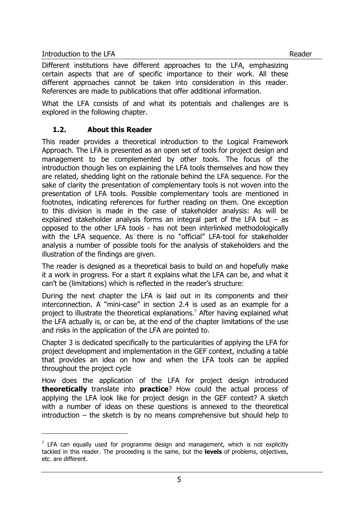l

Different institutions have different approaches to the LFA, emphasizing certain aspects that are of specific importance to their work. All these different approaches cannot be taken into consideration in this reader. References are made to publications that offer additional information.

What the LFA consists of and what its potentials and challenges are is explored in the following chapter.

## **1.2. About this Reader**

This reader provides a theoretical introduction to the Logical Framework Approach. The LFA is presented as an open set of tools for project design and management to be complemented by other tools. The focus of the introduction though lies on explaining the LFA tools themselves and how they are related, shedding light on the rationale behind the LFA sequence. For the sake of clarity the presentation of complementary tools is not woven into the presentation of LFA tools. Possible complementary tools are mentioned in footnotes, indicating references for further reading on them. One exception to this division is made in the case of stakeholder analysis: As will be explained stakeholder analysis forms an integral part of the LFA but – as opposed to the other LFA tools - has not been interlinked methodologically with the LFA sequence. As there is no "official" LFA-tool for stakeholder analysis a number of possible tools for the analysis of stakeholders and the illustration of the findings are given.

The reader is designed as a theoretical basis to build on and hopefully make it a work in progress. For a start it explains what the LFA can be, and what it can't be (limitations) which is reflected in the reader's structure:

During the next chapter the LFA is laid out in its components and their interconnection. A "mini-case" in section 2.4 is used as an example for a project to illustrate the theoretical explanations.<sup>7</sup> After having explained what the LFA actually is, or can be, at the end of the chapter limitations of the use and risks in the application of the LFA are pointed to.

Chapter 3 is dedicated specifically to the particularities of applying the LFA for project development and implementation in the GEF context, including a table that provides an idea on how and when the LFA tools can be applied throughout the project cycle

How does the application of the LFA for project design introduced **theoretically** translate into **practice**? How could the actual process of applying the LFA look like for project design in the GEF context? A sketch with a number of ideas on these questions is annexed to the theoretical introduction – the sketch is by no means comprehensive but should help to

 $<sup>7</sup>$  LFA can equally used for programme design and management, which is not explicitly</sup> tackled in this reader. The proceeding is the same, but the **levels** of problems, objectives, etc. are different.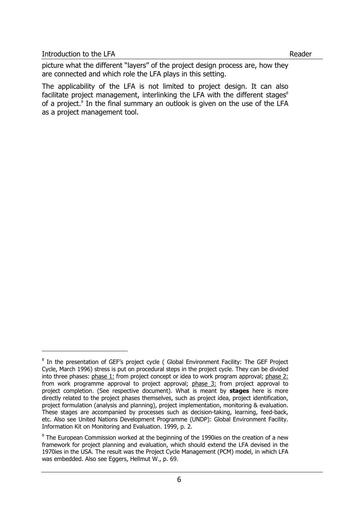j

picture what the different "layers" of the project design process are, how they are connected and which role the LFA plays in this setting.

The applicability of the LFA is not limited to project design. It can also facilitate project management, interlinking the LFA with the different stages $8$ of a project.<sup>9</sup> In the final summary an outlook is given on the use of the LFA as a project management tool.

<sup>&</sup>lt;sup>8</sup> In the presentation of GEF's project cycle ( Global Environment Facility: The GEF Project Cycle, March 1996) stress is put on procedural steps in the project cycle. They can be divided into three phases: phase 1: from project concept or idea to work program approval; phase 2: from work programme approval to project approval; phase 3: from project approval to project completion. (See respective document). What is meant by **stages** here is more directly related to the project phases themselves, such as project idea, project identification, project formulation (analysis and planning), project implementation, monitoring & evaluation. These stages are accompanied by processes such as decision-taking, learning, feed-back, etc. Also see United Nations Development Programme (UNDP): Global Environment Facility. Information Kit on Monitoring and Evaluation. 1999, p. 2.

 $9$  The European Commission worked at the beginning of the 1990ies on the creation of a new framework for project planning and evaluation, which should extend the LFA devised in the 1970ies in the USA. The result was the Project Cycle Management (PCM) model, in which LFA was embedded. Also see Eggers, Hellmut W., p. 69.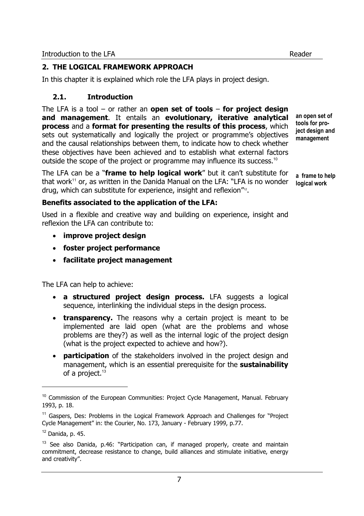In this chapter it is explained which role the LFA plays in project design.

# **2.1. Introduction**

The LFA is a tool – or rather an **open set of tools** – **for project design and management**. It entails an **evolutionary, iterative analytical process** and a **format for presenting the results of this process**, which sets out systematically and logically the project or programme's objectives and the causal relationships between them, to indicate how to check whether these objectives have been achieved and to establish what external factors outside the scope of the project or programme may influence its success.<sup>10</sup>

The LFA can be a "**frame to help logical work**" but it can't substitute for that work<sup>11</sup> or, as written in the Danida Manual on the LFA: "LFA is no wonder drug, which can substitute for experience, insight and reflexion<sup>"12</sup>.

**an open set of tools for project design and management** 

**a frame to help logical work** 

## **Benefits associated to the application of the LFA:**

Used in a flexible and creative way and building on experience, insight and reflexion the LFA can contribute to:

- **improve project design**
- **foster project performance**
- **facilitate project management**

The LFA can help to achieve:

- **a structured project design process.** LFA suggests a logical sequence, interlinking the individual steps in the design process.
- **transparency.** The reasons why a certain project is meant to be implemented are laid open (what are the problems and whose problems are they?) as well as the internal logic of the project design (what is the project expected to achieve and how?).
- **participation** of the stakeholders involved in the project design and management, which is an essential prerequisite for the **sustainability** of a project.<sup>13</sup>

l

<sup>&</sup>lt;sup>10</sup> Commission of the European Communities: Project Cycle Management, Manual. February 1993, p. 18.

<sup>&</sup>lt;sup>11</sup> Gaspers, Des: Problems in the Logical Framework Approach and Challenges for "Project Cycle Management" in: the Courier, No. 173, January - February 1999, p.77.

 $12$  Danida, p. 45.

 $13$  See also Danida, p.46: "Participation can, if managed properly, create and maintain commitment, decrease resistance to change, build alliances and stimulate initiative, energy and creativity".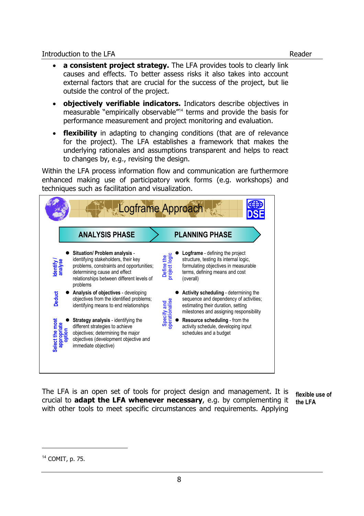- **a consistent project strategy.** The LFA provides tools to clearly link causes and effects. To better assess risks it also takes into account external factors that are crucial for the success of the project, but lie outside the control of the project.
- **objectively verifiable indicators.** Indicators describe objectives in measurable "empirically observable"<sup>14</sup> terms and provide the basis for performance measurement and project monitoring and evaluation.
- **flexibility** in adapting to changing conditions (that are of relevance for the project). The LFA establishes a framework that makes the underlying rationales and assumptions transparent and helps to react to changes by, e.g., revising the design.

Within the LFA process information flow and communication are furthermore enhanced making use of participatory work forms (e.g. workshops) and techniques such as facilitation and visualization.



The LFA is an open set of tools for project design and management. It is crucial to **adapt the LFA whenever necessary**, e.g. by complementing it with other tools to meet specific circumstances and requirements. Applying

**flexible use of the LFA** 

<sup>14</sup> COMIT, p. 75.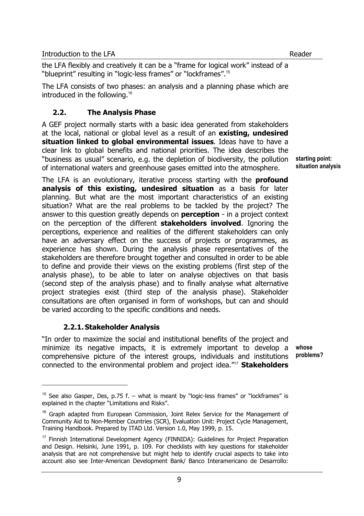the LFA flexibly and creatively it can be a "frame for logical work" instead of a "blueprint" resulting in "logic-less frames" or "lockframes".<sup>15</sup>

The LFA consists of two phases: an analysis and a planning phase which are introduced in the following.<sup>16</sup>

## **2.2. The Analysis Phase**

A GEF project normally starts with a basic idea generated from stakeholders at the local, national or global level as a result of an **existing, undesired situation linked to global environmental issues**. Ideas have to have a clear link to global benefits and national priorities. The idea describes the "business as usual" scenario, e.g. the depletion of biodiversity, the pollution of international waters and greenhouse gases emitted into the atmosphere.

**starting point: situation analysis** 

The LFA is an evolutionary, iterative process starting with the **profound analysis of this existing, undesired situation** as a basis for later planning. But what are the most important characteristics of an existing situation? What are the real problems to be tackled by the project? The answer to this question greatly depends on **perception** - in a project context on the perception of the different **stakeholders involved**. Ignoring the perceptions, experience and realities of the different stakeholders can only have an adversary effect on the success of projects or programmes, as experience has shown. During the analysis phase representatives of the stakeholders are therefore brought together and consulted in order to be able to define and provide their views on the existing problems (first step of the analysis phase), to be able to later on analyse objectives on that basis (second step of the analysis phase) and to finally analyse what alternative project strategies exist (third step of the analysis phase). Stakeholder consultations are often organised in form of workshops, but can and should be varied according to the specific conditions and needs.

## **2.2.1.Stakeholder Analysis**

l

"In order to maximize the social and institutional benefits of the project and minimize its negative impacts, it is extremely important to develop a comprehensive picture of the interest groups, individuals and institutions connected to the environmental problem and project idea."<sup>17</sup> **Stakeholders whose problems?** 

<sup>&</sup>lt;sup>15</sup> See also Gasper, Des, p.75 f. – what is meant by "logic-less frames" or "lockframes" is explained in the chapter "Limitations and Risks".

<sup>&</sup>lt;sup>16</sup> Graph adapted from European Commission, Joint Relex Service for the Management of Community Aid to Non-Member Countries (SCR), Evaluation Unit: Project Cycle Management, Training Handbook. Prepared by ITAD Ltd. Version 1.0, May 1999, p. 15.

<sup>&</sup>lt;sup>17</sup> Finnish International Development Agency (FINNIDA): Guidelines for Project Preparation and Design. Helsinki, June 1991, p. 109. For checklists with key questions for stakeholder analysis that are not comprehensive but might help to identify crucial aspects to take into account also see Inter-American Development Bank/ Banco Interamericano de Desarrollo: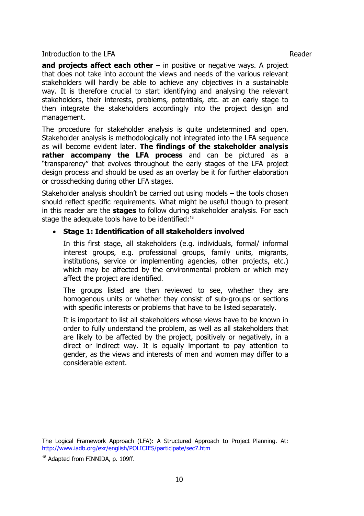**and projects affect each other** – in positive or negative ways. A project that does not take into account the views and needs of the various relevant stakeholders will hardly be able to achieve any objectives in a sustainable way. It is therefore crucial to start identifying and analysing the relevant stakeholders, their interests, problems, potentials, etc. at an early stage to then integrate the stakeholders accordingly into the project design and management.

The procedure for stakeholder analysis is quite undetermined and open. Stakeholder analysis is methodologically not integrated into the LFA sequence as will become evident later. **The findings of the stakeholder analysis rather accompany the LFA process** and can be pictured as a "transparency" that evolves throughout the early stages of the LFA project design process and should be used as an overlay be it for further elaboration or crosschecking during other LFA stages.

Stakeholder analysis shouldn't be carried out using models – the tools chosen should reflect specific requirements. What might be useful though to present in this reader are the **stages** to follow during stakeholder analysis. For each stage the adequate tools have to be identified:<sup>18</sup>

## • **Stage 1: Identification of all stakeholders involved**

In this first stage, all stakeholders (e.g. individuals, formal/ informal interest groups, e.g. professional groups, family units, migrants, institutions, service or implementing agencies, other projects, etc.) which may be affected by the environmental problem or which may affect the project are identified.

The groups listed are then reviewed to see, whether they are homogenous units or whether they consist of sub-groups or sections with specific interests or problems that have to be listed separately.

It is important to list all stakeholders whose views have to be known in order to fully understand the problem, as well as all stakeholders that are likely to be affected by the project, positively or negatively, in a direct or indirect way. It is equally important to pay attention to gender, as the views and interests of men and women may differ to a considerable extent.

j

The Logical Framework Approach (LFA): A Structured Approach to Project Planning. At: http://www.iadb.org/exr/english/POLICIES/participate/sec7.htm

<sup>&</sup>lt;sup>18</sup> Adapted from FINNIDA, p. 109ff.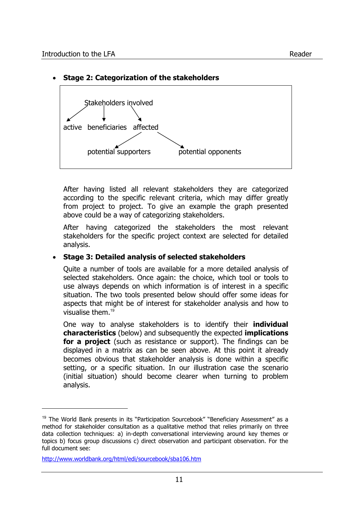

#### • **Stage 2: Categorization of the stakeholders**

After having listed all relevant stakeholders they are categorized according to the specific relevant criteria, which may differ greatly from project to project. To give an example the graph presented above could be a way of categorizing stakeholders.

After having categorized the stakeholders the most relevant stakeholders for the specific project context are selected for detailed analysis.

#### • **Stage 3: Detailed analysis of selected stakeholders**

Quite a number of tools are available for a more detailed analysis of selected stakeholders. Once again: the choice, which tool or tools to use always depends on which information is of interest in a specific situation. The two tools presented below should offer some ideas for aspects that might be of interest for stakeholder analysis and how to visualise them.<sup>19</sup>

One way to analyse stakeholders is to identify their **individual characteristics** (below) and subsequently the expected **implications for a project** (such as resistance or support). The findings can be displayed in a matrix as can be seen above. At this point it already becomes obvious that stakeholder analysis is done within a specific setting, or a specific situation. In our illustration case the scenario (initial situation) should become clearer when turning to problem analysis.

l

<sup>&</sup>lt;sup>19</sup> The World Bank presents in its "Participation Sourcebook" "Beneficiary Assessment" as a method for stakeholder consultation as a qualitative method that relies primarily on three data collection techniques: a) in-depth conversational interviewing around key themes or topics b) focus group discussions c) direct observation and participant observation. For the full document see:

http://www.worldbank.org/html/edi/sourcebook/sba106.htm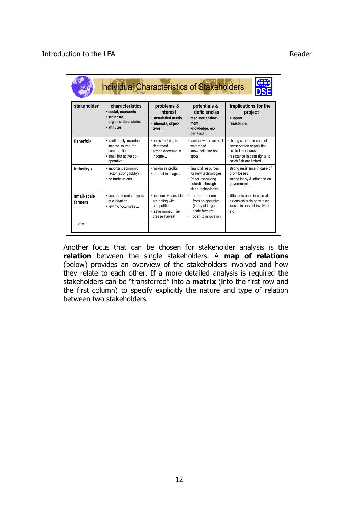| stakeholder            | characteristics<br>· social, economic<br>· structure.<br>organisation, status<br>· attitutes         | problems &<br>interest<br>· unsatisfied needs<br>· interests, objec-<br>tives                  | potentials &<br>deficiencies<br>· resource endow-<br>ment<br>· knowledge, ex-<br>perience                     | implications for the<br>project<br>· support<br>· resistance                                                                             |
|------------------------|------------------------------------------------------------------------------------------------------|------------------------------------------------------------------------------------------------|---------------------------------------------------------------------------------------------------------------|------------------------------------------------------------------------------------------------------------------------------------------|
| fisherfolk             | • traditionally important<br>income source for<br>communities<br>· small but active co-<br>operative | • basis for living is<br>destroyed<br>· strong decrease in<br>income                           | • familiar with river and<br>watershed<br>• know pollution hot<br>spots                                       | • strong support in case of<br>conservation or pollution<br>control measures<br>• resistance in case rights to<br>catch fish are limited |
| industry x             | • important economic<br>factor (strong lobby)<br>. no trade unions                                   | · maximise profits<br>· interest in image                                                      | · financial resources<br>for new technologies<br>• Resource-saving<br>potential through<br>clean technologies | • strong resistance in case of<br>profit losses<br>• strong lobby & influence on<br>government                                           |
| small-scale<br>farmers | • use of alternative types<br>of cultivation<br>• few monocultures                                   | · econom. vulnerable.<br>struggling with<br>competition<br>· save money, in-<br>crease harvest | under pressure<br>from co-operative<br>(lobby of large-<br>scale farmers)<br>open to innovation               | . little resistance in case of<br>extension/ training with no<br>losses in harvest involved<br>$\cdot$ etc.                              |

Another focus that can be chosen for stakeholder analysis is the **relation** between the single stakeholders. A **map of relations** (below) provides an overview of the stakeholders involved and how they relate to each other. If a more detailed analysis is required the stakeholders can be "transferred" into a **matrix** (into the first row and the first column) to specify explicitly the nature and type of relation between two stakeholders.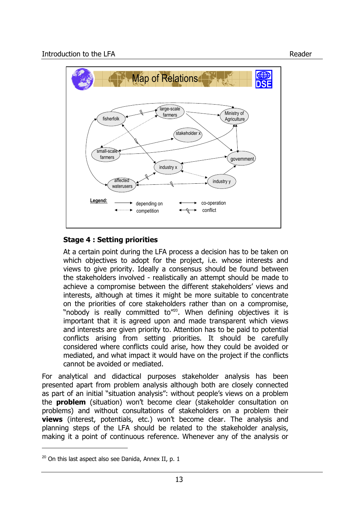

# **Stage 4 : Setting priorities**

At a certain point during the LFA process a decision has to be taken on which objectives to adopt for the project, i.e. whose interests and views to give priority. Ideally a consensus should be found between the stakeholders involved - realistically an attempt should be made to achieve a compromise between the different stakeholders' views and interests, although at times it might be more suitable to concentrate on the priorities of core stakeholders rather than on a compromise, "nobody is really committed to"<sup>20</sup>. When defining objectives it is important that it is agreed upon and made transparent which views and interests are given priority to. Attention has to be paid to potential conflicts arising from setting priorities. It should be carefully considered where conflicts could arise, how they could be avoided or mediated, and what impact it would have on the project if the conflicts cannot be avoided or mediated.

For analytical and didactical purposes stakeholder analysis has been presented apart from problem analysis although both are closely connected as part of an initial "situation analysis": without people's views on a problem the **problem** (situation) won't become clear (stakeholder consultation on problems) and without consultations of stakeholders on a problem their **views** (interest, potentials, etc.) won't become clear. The analysis and planning steps of the LFA should be related to the stakeholder analysis, making it a point of continuous reference. Whenever any of the analysis or

 $20$  On this last aspect also see Danida, Annex II, p. 1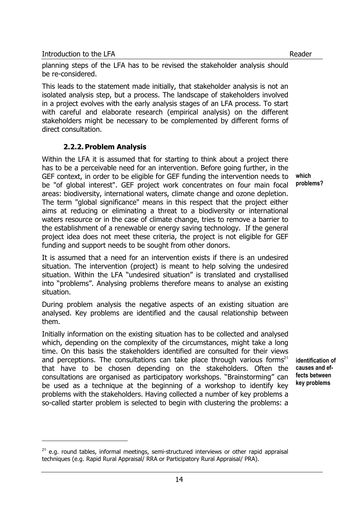l

**which problems?** 

planning steps of the LFA has to be revised the stakeholder analysis should be re-considered.

This leads to the statement made initially, that stakeholder analysis is not an isolated analysis step, but a process. The landscape of stakeholders involved in a project evolves with the early analysis stages of an LFA process. To start with careful and elaborate research (empirical analysis) on the different stakeholders might be necessary to be complemented by different forms of direct consultation.

## **2.2.2.Problem Analysis**

Within the LFA it is assumed that for starting to think about a project there has to be a perceivable need for an intervention. Before going further, in the GEF context, in order to be eligible for GEF funding the intervention needs to be "of global interest". GEF project work concentrates on four main focal areas: biodiversity, international waters, climate change and ozone depletion. The term "global significance" means in this respect that the project either aims at reducing or eliminating a threat to a biodiversity or international waters resource or in the case of climate change, tries to remove a barrier to the establishment of a renewable or energy saving technology. If the general project idea does not meet these criteria, the project is not eligible for GEF funding and support needs to be sought from other donors.

It is assumed that a need for an intervention exists if there is an undesired situation. The intervention (project) is meant to help solving the undesired situation. Within the LFA "undesired situation" is translated and crystallised into "problems". Analysing problems therefore means to analyse an existing situation.

During problem analysis the negative aspects of an existing situation are analysed. Key problems are identified and the causal relationship between them.

Initially information on the existing situation has to be collected and analysed which, depending on the complexity of the circumstances, might take a long time. On this basis the stakeholders identified are consulted for their views and perceptions. The consultations can take place through various forms<sup>21</sup> that have to be chosen depending on the stakeholders. Often the consultations are organised as participatory workshops. "Brainstorming" can be used as a technique at the beginning of a workshop to identify key problems with the stakeholders. Having collected a number of key problems a so-called starter problem is selected to begin with clustering the problems: a

**identification of causes and effects between key problems** 

 $21$  e.g. round tables, informal meetings, semi-structured interviews or other rapid appraisal techniques (e.g. Rapid Rural Appraisal/ RRA or Participatory Rural Appraisal/ PRA).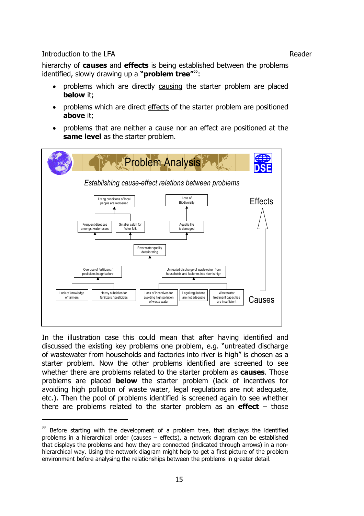l

hierarchy of **causes** and **effects** is being established between the problems identified, slowly drawing up a **"problem tree"<sup>22</sup>**:

- problems which are directly causing the starter problem are placed **below** it;
- problems which are direct effects of the starter problem are positioned **above** it;
- problems that are neither a cause nor an effect are positioned at the **same level** as the starter problem.



In the illustration case this could mean that after having identified and discussed the existing key problems one problem, e.g. "untreated discharge of wastewater from households and factories into river is high" is chosen as a starter problem. Now the other problems identified are screened to see whether there are problems related to the starter problem as **causes**. Those problems are placed **below** the starter problem (lack of incentives for avoiding high pollution of waste water, legal regulations are not adequate, etc.). Then the pool of problems identified is screened again to see whether there are problems related to the starter problem as an **effect** – those

 $22$  Before starting with the development of a problem tree, that displays the identified problems in a hierarchical order (causes – effects), a network diagram can be established that displays the problems and how they are connected (indicated through arrows) in a nonhierarchical way. Using the network diagram might help to get a first picture of the problem environment before analysing the relationships between the problems in greater detail.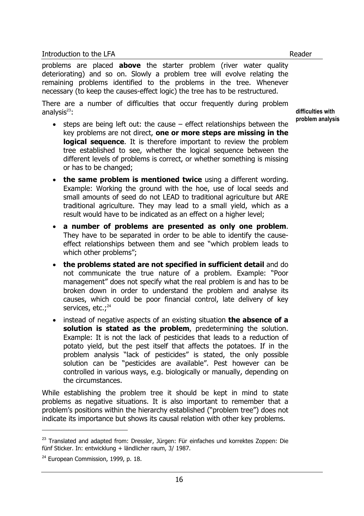problems are placed **above** the starter problem (river water quality deteriorating) and so on. Slowly a problem tree will evolve relating the remaining problems identified to the problems in the tree. Whenever necessary (to keep the causes-effect logic) the tree has to be restructured.

There are a number of difficulties that occur frequently during problem analysis $23$ :

- steps are being left out: the cause effect relationships between the key problems are not direct, **one or more steps are missing in the logical sequence**. It is therefore important to review the problem tree established to see, whether the logical sequence between the different levels of problems is correct, or whether something is missing or has to be changed;
- **the same problem is mentioned twice** using a different wording. Example: Working the ground with the hoe, use of local seeds and small amounts of seed do not LEAD to traditional agriculture but ARE traditional agriculture. They may lead to a small yield, which as a result would have to be indicated as an effect on a higher level;
- **a number of problems are presented as only one problem**. They have to be separated in order to be able to identify the causeeffect relationships between them and see "which problem leads to which other problems";
- **the problems stated are not specified in sufficient detail** and do not communicate the true nature of a problem. Example: "Poor management" does not specify what the real problem is and has to be broken down in order to understand the problem and analyse its causes, which could be poor financial control, late delivery of key services, etc.;<sup>24</sup>
- instead of negative aspects of an existing situation **the absence of a solution is stated as the problem**, predetermining the solution. Example: It is not the lack of pesticides that leads to a reduction of potato yield, but the pest itself that affects the potatoes. If in the problem analysis "lack of pesticides" is stated, the only possible solution can be "pesticides are available". Pest however can be controlled in various ways, e.g. biologically or manually, depending on the circumstances.

While establishing the problem tree it should be kept in mind to state problems as negative situations. It is also important to remember that a problem's positions within the hierarchy established ("problem tree") does not indicate its importance but shows its causal relation with other key problems.

j

**difficulties with problem analysis** 

<sup>&</sup>lt;sup>23</sup> Translated and adapted from: Dressler, Jürgen: Für einfaches und korrektes Zoppen: Die fünf Sticker. In: entwicklung + ländlicher raum, 3/ 1987.

<sup>&</sup>lt;sup>24</sup> European Commission, 1999, p. 18.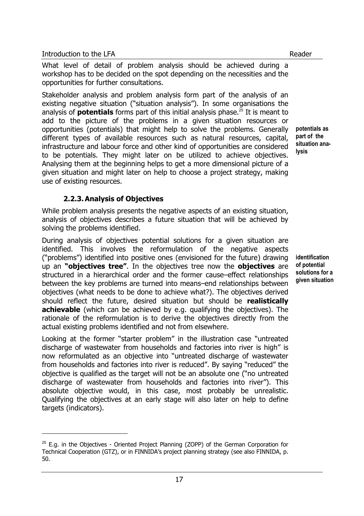l

What level of detail of problem analysis should be achieved during a workshop has to be decided on the spot depending on the necessities and the opportunities for further consultations.

Stakeholder analysis and problem analysis form part of the analysis of an existing negative situation ("situation analysis"). In some organisations the analysis of **potentials** forms part of this initial analysis phase.<sup>25</sup> It is meant to add to the picture of the problems in a given situation resources or opportunities (potentials) that might help to solve the problems. Generally different types of available resources such as natural resources, capital, infrastructure and labour force and other kind of opportunities are considered to be potentials. They might later on be utilized to achieve objectives. Analysing them at the beginning helps to get a more dimensional picture of a given situation and might later on help to choose a project strategy, making use of existing resources.

**potentials as part of the situation analysis** 

## **2.2.3.Analysis of Objectives**

While problem analysis presents the negative aspects of an existing situation, analysis of objectives describes a future situation that will be achieved by solving the problems identified.

During analysis of objectives potential solutions for a given situation are identified. This involves the reformulation of the negative aspects ("problems") identified into positive ones (envisioned for the future) drawing up an **"objectives tree"**. In the objectives tree now the **objectives** are structured in a hierarchical order and the former cause–effect relationships between the key problems are turned into means–end relationships between objectives (what needs to be done to achieve what?). The objectives derived should reflect the future, desired situation but should be **realistically achievable** (which can be achieved by e.g. qualifying the objectives). The rationale of the reformulation is to derive the objectives directly from the actual existing problems identified and not from elsewhere.

Looking at the former "starter problem" in the illustration case "untreated discharge of wastewater from households and factories into river is high" is now reformulated as an objective into "untreated discharge of wastewater from households and factories into river is reduced". By saying "reduced" the objective is qualified as the target will not be an absolute one ("no untreated discharge of wastewater from households and factories into river"). This absolute objective would, in this case, most probably be unrealistic. Qualifying the objectives at an early stage will also later on help to define targets (indicators).

**identification of potential solutions for a given situation** 

 $25$  E.g. in the Objectives - Oriented Project Planning (ZOPP) of the German Corporation for Technical Cooperation (GTZ), or in FINNIDA's project planning strategy (see also FINNIDA, p. 50.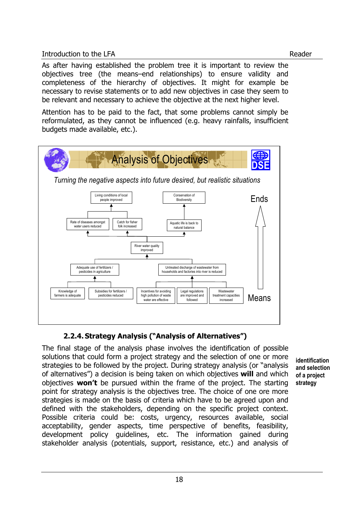As after having established the problem tree it is important to review the objectives tree (the means–end relationships) to ensure validity and completeness of the hierarchy of objectives. It might for example be necessary to revise statements or to add new objectives in case they seem to be relevant and necessary to achieve the objective at the next higher level.

Attention has to be paid to the fact, that some problems cannot simply be reformulated, as they cannot be influenced (e.g. heavy rainfalls, insufficient budgets made available, etc.).



# **2.2.4.Strategy Analysis ("Analysis of Alternatives")**

The final stage of the analysis phase involves the identification of possible solutions that could form a project strategy and the selection of one or more strategies to be followed by the project. During strategy analysis (or "analysis of alternatives") a decision is being taken on which objectives **will** and which objectives **won't** be pursued within the frame of the project. The starting point for strategy analysis is the objectives tree. The choice of one ore more strategies is made on the basis of criteria which have to be agreed upon and defined with the stakeholders, depending on the specific project context. Possible criteria could be: costs, urgency, resources available, social acceptability, gender aspects, time perspective of benefits, feasibility, development policy guidelines, etc. The information gained during stakeholder analysis (potentials, support, resistance, etc.) and analysis of

**identification and selection of a project strategy**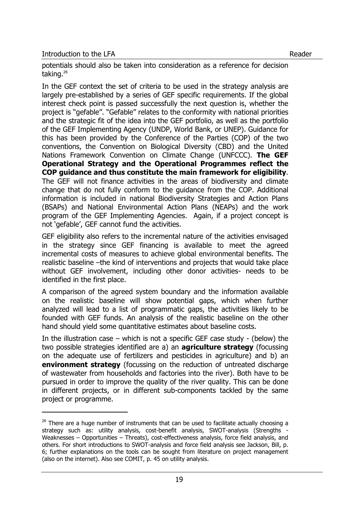j

potentials should also be taken into consideration as a reference for decision taking.<sup>26</sup>

In the GEF context the set of criteria to be used in the strategy analysis are largely pre-established by a series of GEF specific requirements. If the global interest check point is passed successfully the next question is, whether the project is "gefable". "Gefable" relates to the conformity with national priorities and the strategic fit of the idea into the GEF portfolio, as well as the portfolio of the GEF Implementing Agency (UNDP, World Bank, or UNEP). Guidance for this has been provided by the Conference of the Parties (COP) of the two conventions, the Convention on Biological Diversity (CBD) and the United Nations Framework Convention on Climate Change (UNFCCC). **The GEF Operational Strategy and the Operational Programmes reflect the COP guidance and thus constitute the main framework for eligibility**. The GEF will not finance activities in the areas of biodiversity and climate change that do not fully conform to the guidance from the COP. Additional information is included in national Biodiversity Strategies and Action Plans (BSAPs) and National Environmental Action Plans (NEAPs) and the work program of the GEF Implementing Agencies. Again, if a project concept is not 'gefable', GEF cannot fund the activities.

GEF eligibility also refers to the incremental nature of the activities envisaged in the strategy since GEF financing is available to meet the agreed incremental costs of measures to achieve global environmental benefits. The realistic baseline –the kind of interventions and projects that would take place without GEF involvement, including other donor activities- needs to be identified in the first place.

A comparison of the agreed system boundary and the information available on the realistic baseline will show potential gaps, which when further analyzed will lead to a list of programmatic gaps, the activities likely to be founded with GEF funds. An analysis of the realistic baseline on the other hand should yield some quantitative estimates about baseline costs.

In the illustration case – which is not a specific GEF case study - (below) the two possible strategies identified are a) an **agriculture strategy** (focussing on the adequate use of fertilizers and pesticides in agriculture) and b) an **environment strategy** (focussing on the reduction of untreated discharge of wastewater from households and factories into the river). Both have to be pursued in order to improve the quality of the river quality. This can be done in different projects, or in different sub-components tackled by the same project or programme.

 $26$  There are a huge number of instruments that can be used to facilitate actually choosing a strategy such as: utility analysis, cost-benefit analysis, SWOT-analysis (Strengths - Weaknesses – Opportunities – Threats), cost-effectiveness analysis, force field analysis, and others. For short introductions to SWOT-analysis and force field analysis see Jackson, Bill, p. 6; further explanations on the tools can be sought from literature on project management (also on the internet). Also see COMIT, p. 45 on utility analysis.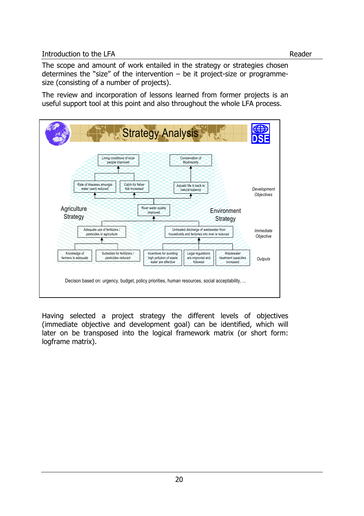## Introduction to the LFA Reader

The scope and amount of work entailed in the strategy or strategies chosen determines the "size" of the intervention  $-$  be it project-size or programmesize (consisting of a number of projects).

The review and incorporation of lessons learned from former projects is an useful support tool at this point and also throughout the whole LFA process.



Having selected a project strategy the different levels of objectives (immediate objective and development goal) can be identified, which will later on be transposed into the logical framework matrix (or short form: logframe matrix).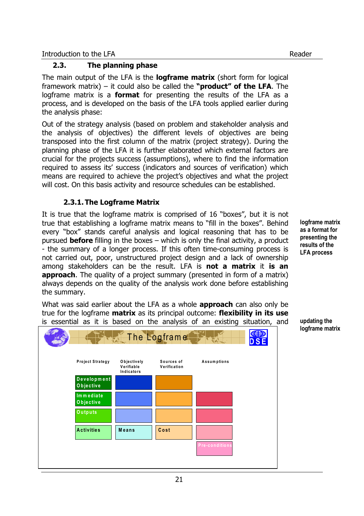## **2.3. The planning phase**

The main output of the LFA is the **logframe matrix** (short form for logical framework matrix) – it could also be called the **"product" of the LFA**. The logframe matrix is a **format** for presenting the results of the LFA as a process, and is developed on the basis of the LFA tools applied earlier during the analysis phase:

Out of the strategy analysis (based on problem and stakeholder analysis and the analysis of objectives) the different levels of objectives are being transposed into the first column of the matrix (project strategy). During the planning phase of the LFA it is further elaborated which external factors are crucial for the projects success (assumptions), where to find the information required to assess its' success (indicators and sources of verification) which means are required to achieve the project's objectives and what the project will cost. On this basis activity and resource schedules can be established.

## **2.3.1.The Logframe Matrix**

It is true that the logframe matrix is comprised of 16 "boxes", but it is not true that establishing a logframe matrix means to "fill in the boxes". Behind every "box" stands careful analysis and logical reasoning that has to be pursued **before** filling in the boxes – which is only the final activity, a product - the summary of a longer process. If this often time-consuming process is not carried out, poor, unstructured project design and a lack of ownership among stakeholders can be the result. LFA is **not a matrix** it **is an approach**. The quality of a project summary (presented in form of a matrix) always depends on the quality of the analysis work done before establishing the summary.

What was said earlier about the LFA as a whole **approach** can also only be true for the logframe **matrix** as its principal outcome: **flexibility in its use** is essential as it is based on the analysis of an existing situation, and



**logframe matrix as a format for presenting the results of the LFA process** 

**updating the logframe matrix**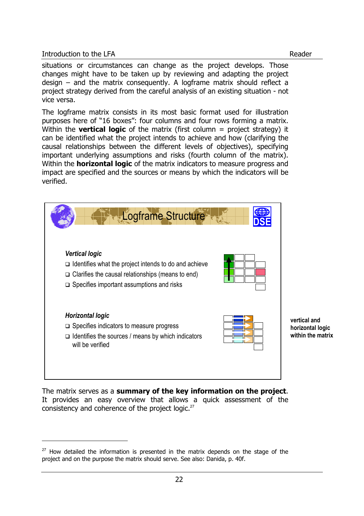l

The logframe matrix consists in its most basic format used for illustration purposes here of "16 boxes": four columns and four rows forming a matrix. Within the **vertical logic** of the matrix (first column = project strategy) it can be identified what the project intends to achieve and how (clarifying the causal relationships between the different levels of objectives), specifying important underlying assumptions and risks (fourth column of the matrix). Within the **horizontal logic** of the matrix indicators to measure progress and impact are specified and the sources or means by which the indicators will be verified.



The matrix serves as a **summary of the key information on the project**. It provides an easy overview that allows a quick assessment of the consistency and coherence of the project logic.<sup>27</sup>

 $27$  How detailed the information is presented in the matrix depends on the stage of the project and on the purpose the matrix should serve. See also: Danida, p. 40f.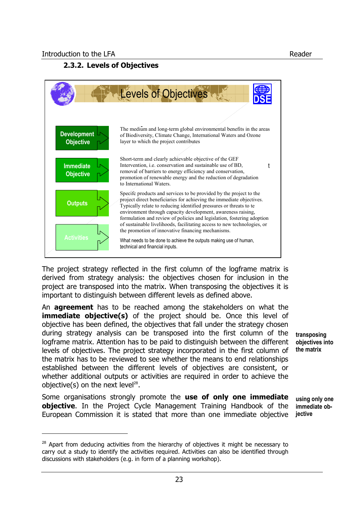l

## **2.3.2. Levels of Objectives**



The project strategy reflected in the first column of the logframe matrix is derived from strategy analysis: the objectives chosen for inclusion in the project are transposed into the matrix. When transposing the objectives it is important to distinguish between different levels as defined above.

An **agreement** has to be reached among the stakeholders on what the **immediate objective(s)** of the project should be. Once this level of objective has been defined, the objectives that fall under the strategy chosen during strategy analysis can be transposed into the first column of the logframe matrix. Attention has to be paid to distinguish between the different levels of objectives. The project strategy incorporated in the first column of the matrix has to be reviewed to see whether the means to end relationships established between the different levels of objectives are consistent, or whether additional outputs or activities are required in order to achieve the objective(s) on the next level<sup>28</sup>.

Some organisations strongly promote the **use of only one immediate objective**. In the Project Cycle Management Training Handbook of the European Commission it is stated that more than one immediate objective

**transposing objectives into the matrix** 

**using only one immediate objective** 

 $28$  Apart from deducing activities from the hierarchy of objectives it might be necessary to carry out a study to identify the activities required. Activities can also be identified through discussions with stakeholders (e.g. in form of a planning workshop).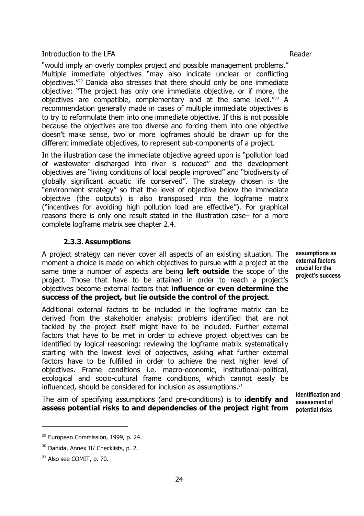"would imply an overly complex project and possible management problems." Multiple immediate objectives "may also indicate unclear or conflicting objectives."<sup>29</sup> Danida also stresses that there should only be one immediate objective: "The project has only one immediate objective, or if more, the objectives are compatible, complementary and at the same level."<sup>30</sup> A recommendation generally made in cases of multiple immediate objectives is to try to reformulate them into one immediate objective. If this is not possible because the objectives are too diverse and forcing them into one objective doesn't make sense, two or more logframes should be drawn up for the different immediate objectives, to represent sub-components of a project.

In the illustration case the immediate objective agreed upon is "pollution load of wastewater discharged into river is reduced" and the development objectives are "living conditions of local people improved" and "biodiversity of globally significant aquatic life conserved". The strategy chosen is the "environment strategy" so that the level of objective below the immediate objective (the outputs) is also transposed into the logframe matrix ("incentives for avoiding high pollution load are effective"). For graphical reasons there is only one result stated in the illustration case– for a more complete logframe matrix see chapter 2.4.

# **2.3.3.Assumptions**

A project strategy can never cover all aspects of an existing situation. The moment a choice is made on which objectives to pursue with a project at the same time a number of aspects are being **left outside** the scope of the project. Those that have to be attained in order to reach a project's objectives become external factors that **influence or even determine the success of the project, but lie outside the control of the project**.

Additional external factors to be included in the logframe matrix can be derived from the stakeholder analysis: problems identified that are not tackled by the project itself might have to be included. Further external factors that have to be met in order to achieve project objectives can be identified by logical reasoning: reviewing the logframe matrix systematically starting with the lowest level of objectives, asking what further external factors have to be fulfilled in order to achieve the next higher level of objectives. Frame conditions i.e. macro-economic, institutional-political, ecological and socio-cultural frame conditions, which cannot easily be influenced, should be considered for inclusion as assumptions.<sup>31</sup>

The aim of specifying assumptions (and pre-conditions) is to **identify and assess potential risks to and dependencies of the project right from** 

**identification and assessment of potential risks** 

l

<sup>&</sup>lt;sup>29</sup> European Commission, 1999, p. 24.

<sup>30</sup> Danida, Annex II/ Checklists, p. 2.

<sup>&</sup>lt;sup>31</sup> Also see COMIT, p. 70.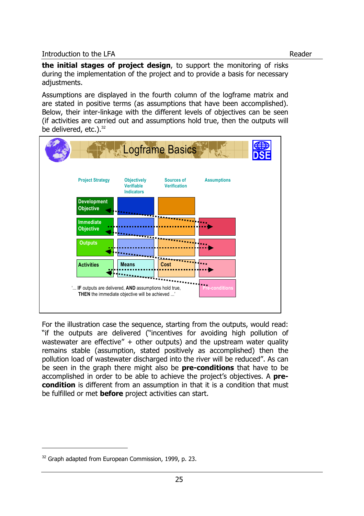**the initial stages of project design**, to support the monitoring of risks during the implementation of the project and to provide a basis for necessary adjustments.

Assumptions are displayed in the fourth column of the logframe matrix and are stated in positive terms (as assumptions that have been accomplished). Below, their inter-linkage with the different levels of objectives can be seen (if activities are carried out and assumptions hold true, then the outputs will be delivered, etc.).<sup>32</sup>



For the illustration case the sequence, starting from the outputs, would read: "if the outputs are delivered ("incentives for avoiding high pollution of wastewater are effective"  $+$  other outputs) and the upstream water quality remains stable (assumption, stated positively as accomplished) then the pollution load of wastewater discharged into the river will be reduced". As can be seen in the graph there might also be **pre-conditions** that have to be accomplished in order to be able to achieve the project's objectives. A **precondition** is different from an assumption in that it is a condition that must be fulfilled or met **before** project activities can start.

<sup>&</sup>lt;sup>32</sup> Graph adapted from European Commission, 1999, p. 23.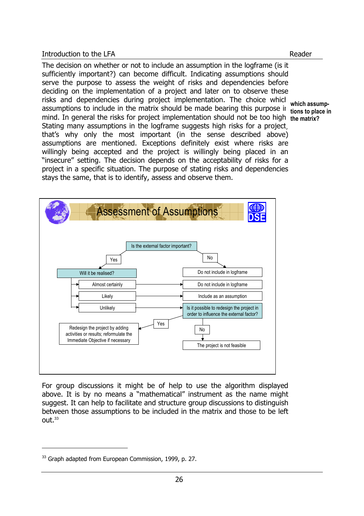The decision on whether or not to include an assumption in the logframe (is it sufficiently important?) can become difficult. Indicating assumptions should serve the purpose to assess the weight of risks and dependencies before deciding on the implementation of a project and later on to observe these risks and dependencies during project implementation. The choice which assumptions to include in the matrix should be made bearing this purpose in tions to place in mind. In general the risks for project implementation should not be too high. **the matrix?**  Stating many assumptions in the logframe suggests high risks for a project. that's why only the most important (in the sense described above) assumptions are mentioned. Exceptions definitely exist where risks are willingly being accepted and the project is willingly being placed in an "insecure" setting. The decision depends on the acceptability of risks for a project in a specific situation. The purpose of stating risks and dependencies stays the same, that is to identify, assess and observe them.

**which assump-**



For group discussions it might be of help to use the algorithm displayed above. It is by no means a "mathematical" instrument as the name might suggest. It can help to facilitate and structure group discussions to distinguish between those assumptions to be included in the matrix and those to be left out.<sup>33</sup>

<sup>&</sup>lt;sup>33</sup> Graph adapted from European Commission, 1999, p. 27.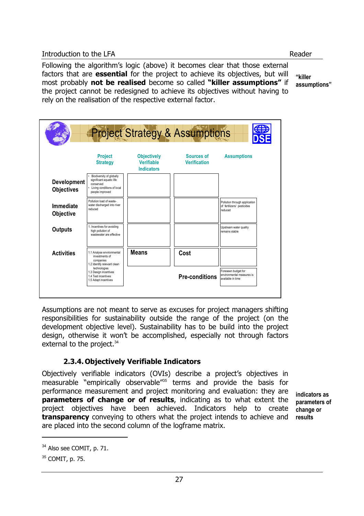Following the algorithm's logic (above) it becomes clear that those external factors that are **essential** for the project to achieve its objectives, but will most probably **not be realised** become so called **"killer assumptions"** if the project cannot be redesigned to achieve its objectives without having to rely on the realisation of the respective external factor.

**"killer assumptions"** 



Assumptions are not meant to serve as excuses for project managers shifting responsibilities for sustainability outside the range of the project (on the development objective level). Sustainability has to be build into the project design, otherwise it won't be accomplished, especially not through factors external to the project.<sup>34</sup>

# **2.3.4.Objectively Verifiable Indicators**

Objectively verifiable indicators (OVIs) describe a project's objectives in measurable "empirically observable"<sup>35</sup> terms and provide the basis for performance measurement and project monitoring and evaluation: they are **parameters of change or of results**, indicating as to what extent the project objectives have been achieved. Indicators help to create **transparency** conveying to others what the project intends to achieve and are placed into the second column of the logframe matrix.

**indicators as parameters of change or results** 

<sup>&</sup>lt;sup>34</sup> Also see COMIT, p. 71.

<sup>35</sup> COMIT, p. 75.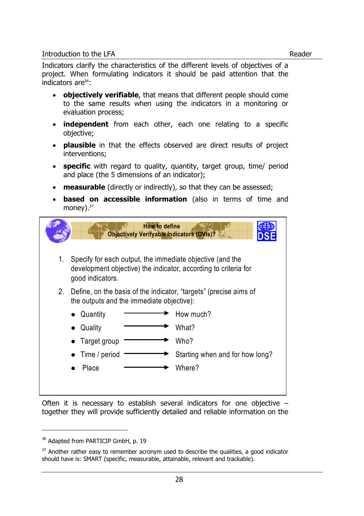Indicators clarify the characteristics of the different levels of objectives of a project. When formulating indicators it should be paid attention that the indicators are $36$ :

- **objectively verifiable**, that means that different people should come to the same results when using the indicators in a monitoring or evaluation process;
- **independent** from each other, each one relating to a specific objective;
- **plausible** in that the effects observed are direct results of project interventions;
- **specific** with regard to quality, quantity, target group, time/ period and place (the 5 dimensions of an indicator);
- **measurable** (directly or indirectly), so that they can be assessed;
- **based on accessible information** (also in terms of time and money).<sup>37</sup>

|    | <b>How to define</b><br><b>Objectively Verifyable Indicators (OVIs)? \</b>                                                                       |  |  |  |  |  |  |  |
|----|--------------------------------------------------------------------------------------------------------------------------------------------------|--|--|--|--|--|--|--|
| 1. | Specify for each output, the immediate objective (and the<br>development objective) the indicator, according to criteria for<br>good indicators. |  |  |  |  |  |  |  |
| 2. | Define, on the basis of the indicator, "targets" (precise aims of<br>the outputs and the immediate objective):                                   |  |  |  |  |  |  |  |
|    | How much?<br>Quantity                                                                                                                            |  |  |  |  |  |  |  |
|    | What?<br>Quality                                                                                                                                 |  |  |  |  |  |  |  |
|    | Who?<br>Target group                                                                                                                             |  |  |  |  |  |  |  |
|    | Starting when and for how long?<br>Time / period                                                                                                 |  |  |  |  |  |  |  |
|    | Place<br>Where?                                                                                                                                  |  |  |  |  |  |  |  |
|    |                                                                                                                                                  |  |  |  |  |  |  |  |

Often it is necessary to establish several indicators for one objective – together they will provide sufficiently detailed and reliable information on the

j

<sup>&</sup>lt;sup>36</sup> Adapted from PARTICIP GmbH, p. 19

 $37$  Another rather easy to remember acronym used to describe the qualities, a good indicator should have is: SMART (specific, measurable, attainable, relevant and trackable).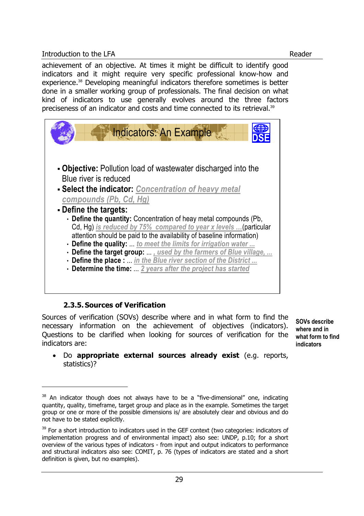achievement of an objective. At times it might be difficult to identify good indicators and it might require very specific professional know-how and experience.<sup>38</sup> Developing meaningful indicators therefore sometimes is better done in a smaller working group of professionals. The final decision on what kind of indicators to use generally evolves around the three factors preciseness of an indicator and costs and time connected to its retrieval.<sup>39</sup>

| Indicators: An Example                                                                                                                |
|---------------------------------------------------------------------------------------------------------------------------------------|
| • Objective: Pollution load of wastewater discharged into the<br>Blue river is reduced                                                |
| - Select the indicator: Concentration of heavy metal                                                                                  |
| compounds (Pb, Cd, Hg)                                                                                                                |
| - Define the targets:                                                                                                                 |
| • Define the quantity: Concentration of heay metal compounds (Pb,<br>Cd, Hg) is reduced by 75% compared to year x levels  (particular |
| attention should be paid to the availability of baseline information)                                                                 |
| • Define the quality:  to meet the limits for irrigation water                                                                        |
| • Define the target group: , used by the farmers of Blue village,                                                                     |
| • Define the place :  in the Blue river section of the District                                                                       |
| • Determine the time:  2 years after the project has started                                                                          |
|                                                                                                                                       |

# **2.3.5.Sources of Verification**

l

Sources of verification (SOVs) describe where and in what form to find the necessary information on the achievement of objectives (indicators). Questions to be clarified when looking for sources of verification for the indicators are:

**SOVs describe where and in what form to find indicators** 

• Do **appropriate external sources already exist** (e.g. reports, statistics)?

 $38$  An indicator though does not always have to be a "five-dimensional" one, indicating quantity, quality, timeframe, target group and place as in the example. Sometimes the target group or one or more of the possible dimensions is/ are absolutely clear and obvious and do not have to be stated explicitly.

<sup>&</sup>lt;sup>39</sup> For a short introduction to indicators used in the GEF context (two categories: indicators of implementation progress and of environmental impact) also see: UNDP, p.10; for a short overview of the various types of indicators - from input and output indicators to performance and structural indicators also see: COMIT, p. 76 (types of indicators are stated and a short definition is given, but no examples).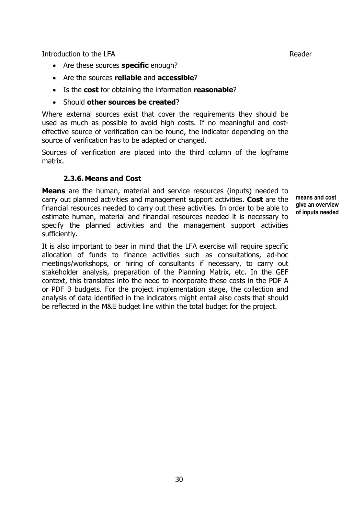- Are these sources **specific** enough?
- Are the sources **reliable** and **accessible**?
- Is the **cost** for obtaining the information **reasonable**?
- Should **other sources be created**?

Where external sources exist that cover the requirements they should be used as much as possible to avoid high costs. If no meaningful and costeffective source of verification can be found, the indicator depending on the source of verification has to be adapted or changed.

Sources of verification are placed into the third column of the logframe matrix.

## **2.3.6.Means and Cost**

**Means** are the human, material and service resources (inputs) needed to carry out planned activities and management support activities. **Cost** are the financial resources needed to carry out these activities. In order to be able to estimate human, material and financial resources needed it is necessary to specify the planned activities and the management support activities sufficiently.

**means and cost give an overview of inputs needed** 

It is also important to bear in mind that the LFA exercise will require specific allocation of funds to finance activities such as consultations, ad-hoc meetings/workshops, or hiring of consultants if necessary, to carry out stakeholder analysis, preparation of the Planning Matrix, etc. In the GEF context, this translates into the need to incorporate these costs in the PDF A or PDF B budgets. For the project implementation stage, the collection and analysis of data identified in the indicators might entail also costs that should be reflected in the M&E budget line within the total budget for the project.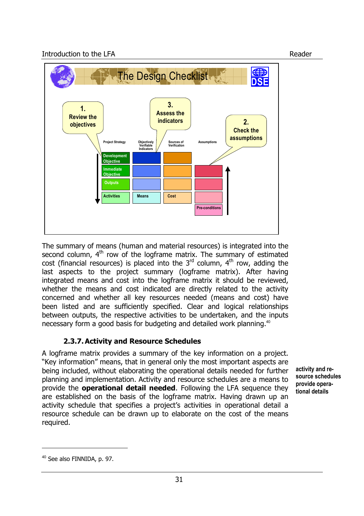

The summary of means (human and material resources) is integrated into the second column, 4<sup>th</sup> row of the logframe matrix. The summary of estimated cost (financial resources) is placed into the  $3<sup>rd</sup>$  column,  $4<sup>th</sup>$  row, adding the last aspects to the project summary (logframe matrix). After having integrated means and cost into the logframe matrix it should be reviewed, whether the means and cost indicated are directly related to the activity concerned and whether all key resources needed (means and cost) have been listed and are sufficiently specified. Clear and logical relationships between outputs, the respective activities to be undertaken, and the inputs necessary form a good basis for budgeting and detailed work planning.<sup>40</sup>

# **2.3.7.Activity and Resource Schedules**

A logframe matrix provides a summary of the key information on a project. "Key information" means, that in general only the most important aspects are being included, without elaborating the operational details needed for further planning and implementation. Activity and resource schedules are a means to provide the **operational detail needed**. Following the LFA sequence they are established on the basis of the logframe matrix. Having drawn up an activity schedule that specifies a project's activities in operational detail a resource schedule can be drawn up to elaborate on the cost of the means required.

**activity and resource schedules provide operational details** 

<sup>&</sup>lt;sup>40</sup> See also FINNIDA, p. 97.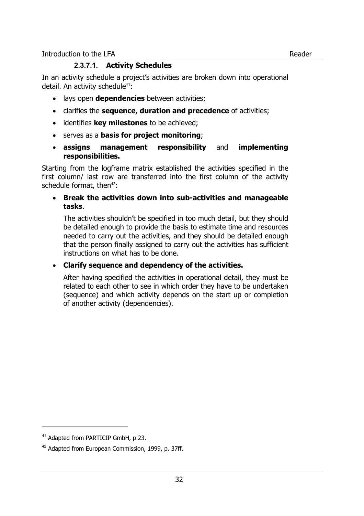## **2.3.7.1. Activity Schedules**

In an activity schedule a project's activities are broken down into operational detail. An activity schedule $41$ :

- lays open **dependencies** between activities;
- clarifies the **sequence, duration and precedence** of activities;
- identifies **key milestones** to be achieved;
- serves as a **basis for project monitoring**;
- **assigns management responsibility** and **implementing responsibilities.**

Starting from the logframe matrix established the activities specified in the first column/ last row are transferred into the first column of the activity schedule format, then $42$ :

• **Break the activities down into sub-activities and manageable tasks**.

The activities shouldn't be specified in too much detail, but they should be detailed enough to provide the basis to estimate time and resources needed to carry out the activities, and they should be detailed enough that the person finally assigned to carry out the activities has sufficient instructions on what has to be done.

## • **Clarify sequence and dependency of the activities.**

After having specified the activities in operational detail, they must be related to each other to see in which order they have to be undertaken (sequence) and which activity depends on the start up or completion of another activity (dependencies).

l

<sup>&</sup>lt;sup>41</sup> Adapted from PARTICIP GmbH, p.23.

<sup>&</sup>lt;sup>42</sup> Adapted from European Commission, 1999, p. 37ff.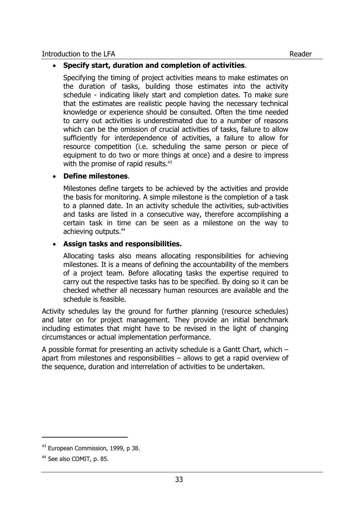#### • **Specify start, duration and completion of activities**.

Specifying the timing of project activities means to make estimates on the duration of tasks, building those estimates into the activity schedule - indicating likely start and completion dates. To make sure that the estimates are realistic people having the necessary technical knowledge or experience should be consulted. Often the time needed to carry out activities is underestimated due to a number of reasons which can be the omission of crucial activities of tasks, failure to allow sufficiently for interdependence of activities, a failure to allow for resource competition (i.e. scheduling the same person or piece of equipment to do two or more things at once) and a desire to impress with the promise of rapid results.<sup>43</sup>

#### • **Define milestones**.

Milestones define targets to be achieved by the activities and provide the basis for monitoring. A simple milestone is the completion of a task to a planned date. In an activity schedule the activities, sub-activities and tasks are listed in a consecutive way, therefore accomplishing a certain task in time can be seen as a milestone on the way to achieving outputs.<sup>44</sup>

#### • **Assign tasks and responsibilities.**

Allocating tasks also means allocating responsibilities for achieving milestones. It is a means of defining the accountability of the members of a project team. Before allocating tasks the expertise required to carry out the respective tasks has to be specified. By doing so it can be checked whether all necessary human resources are available and the schedule is feasible.

Activity schedules lay the ground for further planning (resource schedules) and later on for project management. They provide an initial benchmark including estimates that might have to be revised in the light of changing circumstances or actual implementation performance.

A possible format for presenting an activity schedule is a Gantt Chart, which – apart from milestones and responsibilities – allows to get a rapid overview of the sequence, duration and interrelation of activities to be undertaken.

<sup>43</sup> European Commission, 1999, p 38.

<sup>&</sup>lt;sup>44</sup> See also COMIT, p. 85.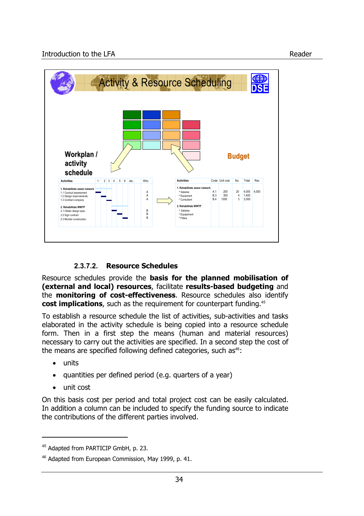

# **2.3.7.2. Resource Schedules**

Resource schedules provide the **basis for the planned mobilisation of (external and local) resources**, facilitate **results-based budgeting** and the **monitoring of cost-effectiveness**. Resource schedules also identify **cost implications**, such as the requirement for counterpart funding.<sup>45</sup>

To establish a resource schedule the list of activities, sub-activities and tasks elaborated in the activity schedule is being copied into a resource schedule form. Then in a first step the means (human and material resources) necessary to carry out the activities are specified. In a second step the cost of the means are specified following defined categories, such  $as<sup>46</sup>$ :

• units

 $\overline{a}$ 

- quantities per defined period (e.g. quarters of a year)
- unit cost

On this basis cost per period and total project cost can be easily calculated. In addition a column can be included to specify the funding source to indicate the contributions of the different parties involved.

<sup>&</sup>lt;sup>45</sup> Adapted from PARTICIP GmbH, p. 23.

<sup>&</sup>lt;sup>46</sup> Adapted from European Commission, May 1999, p. 41.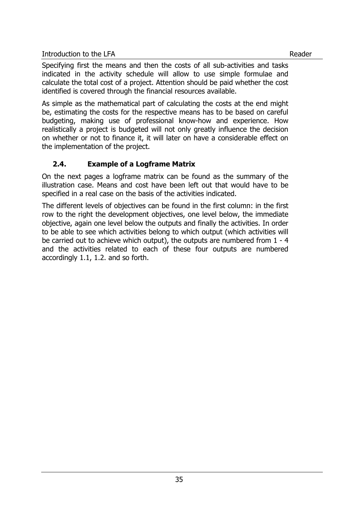Specifying first the means and then the costs of all sub-activities and tasks indicated in the activity schedule will allow to use simple formulae and calculate the total cost of a project. Attention should be paid whether the cost identified is covered through the financial resources available.

As simple as the mathematical part of calculating the costs at the end might be, estimating the costs for the respective means has to be based on careful budgeting, making use of professional know-how and experience. How realistically a project is budgeted will not only greatly influence the decision on whether or not to finance it, it will later on have a considerable effect on the implementation of the project.

# **2.4. Example of a Logframe Matrix**

On the next pages a logframe matrix can be found as the summary of the illustration case. Means and cost have been left out that would have to be specified in a real case on the basis of the activities indicated.

The different levels of objectives can be found in the first column: in the first row to the right the development objectives, one level below, the immediate objective, again one level below the outputs and finally the activities. In order to be able to see which activities belong to which output (which activities will be carried out to achieve which output), the outputs are numbered from 1 - 4 and the activities related to each of these four outputs are numbered accordingly 1.1, 1.2. and so forth.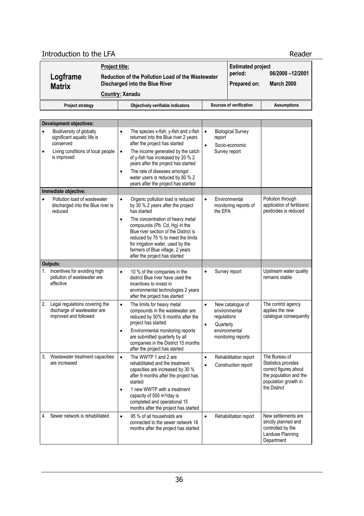# Introduction to the LFA Reader

| Logframe<br><b>Matrix</b> | <b>Project title:</b> | Reduction of the Pollution Load of the Wastewater<br>Discharged into the Blue River<br><b>Country: Xanadu</b> |  | <b>Estimated project</b><br>period:<br>Prepared on: | 06/2000 -12/2001<br><b>March 2000</b> |
|---------------------------|-----------------------|---------------------------------------------------------------------------------------------------------------|--|-----------------------------------------------------|---------------------------------------|
| <b>Project strategy</b>   |                       | Objectively verifiable indicators                                                                             |  | Sources of verification                             | <b>Assumptions</b>                    |

|           | <b>Development objectives:</b>                                                                                           |                                                                                                                                                                                                                                                                                                                                                                                                                        |                                                                                                                                 |
|-----------|--------------------------------------------------------------------------------------------------------------------------|------------------------------------------------------------------------------------------------------------------------------------------------------------------------------------------------------------------------------------------------------------------------------------------------------------------------------------------------------------------------------------------------------------------------|---------------------------------------------------------------------------------------------------------------------------------|
| $\bullet$ | Biodiversity of globally<br>significant aquatic life is<br>conserved<br>Living conditions of local people<br>is improved | $\bullet$<br><b>Biological Survey</b><br>The species x-fish, y-fish and z-fish<br>returned into the Blue river 2 years<br>report<br>after the project has started<br>Socio-economic<br>$\bullet$<br>The income generated by the catch<br>Survey report<br>$\bullet$<br>of y-fish has increased by 20 % 2<br>years after the project has started<br>The rate of diseases amongst<br>water users is reduced by 80 % 2    |                                                                                                                                 |
|           |                                                                                                                          | years after the project has started                                                                                                                                                                                                                                                                                                                                                                                    |                                                                                                                                 |
| $\bullet$ | Immediate objective:<br>Pollution load of wastewater<br>discharged into the Blue river is<br>reduced                     | Organic pollution load is reduced<br>Environmental<br>$\bullet$<br>by 30 % 2 years after the project<br>monitoring reports of<br>has started<br>the EPA<br>The concentration of heavy metal<br>compounds (Pb, Cd, Hg) in the<br>Blue river section of the District is<br>reduced by 75 % to meet the limits<br>for irrigation water, used by the<br>farmers of Blue village, 2 years<br>after the project has started  | Pollution through<br>application of fertilizers/<br>pesticides is reduced                                                       |
|           | Outputs:                                                                                                                 |                                                                                                                                                                                                                                                                                                                                                                                                                        |                                                                                                                                 |
|           | Incentives for avoiding high<br>pollution of wastewater are<br>effective                                                 | 10 % of the companies in the<br>Survey report<br>$\bullet$<br>district Blue river have used the<br>incentives to invest in<br>environmental technologies 2 years<br>after the project has started                                                                                                                                                                                                                      | Upstream water quality<br>remains stable                                                                                        |
| 2.        | Legal regulations covering the<br>discharge of wastewater are<br>improved and followed                                   | The limits for heavy metal<br>$\bullet$<br>New catalogue of<br>$\bullet$<br>compounds in the wastewater are<br>environmental<br>reduced by 50% 9 months after the<br>regulations<br>project has started<br>$\bullet$<br>Quarterly<br>Environmental monitoring reports<br>environmental<br>are submitted quarterly by all<br>monitoring reports<br>companies in the District 15 months<br>after the project has started | The control agency<br>applies the new<br>catalogue consequently                                                                 |
| 3.        | Wastewater treatment capacities<br>are increased                                                                         | The WWTP 1 and 2 are<br>Rehabilitation report<br>$\bullet$<br>$\bullet$<br>rehabilitated and the treatment<br>Construction report<br>$\bullet$<br>capacities are increased by 30 %<br>after 9 months after the project has<br>started<br>1 new WWTP with a treatment<br>capacity of 500 m <sup>3</sup> /day is<br>completed and operational 15<br>months after the project has started                                 | The Bureau of<br>Statistics provides<br>correct figures about<br>the population and the<br>population growth in<br>the District |
| 4.        | Sewer network is rehabilitated                                                                                           | 95 % of all households are<br>Rehabilitation report<br>$\bullet$<br>connected to the sewer network 18<br>months after the project has started                                                                                                                                                                                                                                                                          | New settlements are<br>strictly planned and<br>controlled by the<br>Landuse Planning<br>Department                              |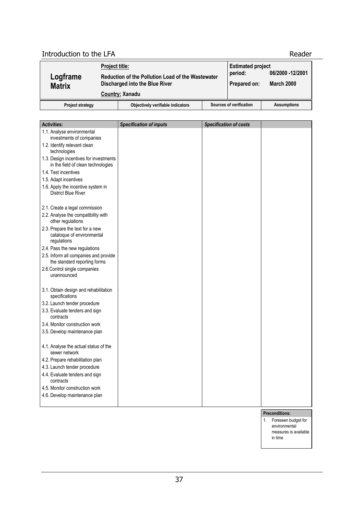# Introduction to the LFA Reader

| Logframe<br><b>Matrix</b> | <u>Project title:</u> | Reduction of the Pollution Load of the Wastewater<br>Discharged into the Blue River<br><b>Country: Xanadu</b> | <b>Estimated project</b><br>period:<br>Prepared on: | 06/2000 -12/2001<br><b>March 2000</b> |
|---------------------------|-----------------------|---------------------------------------------------------------------------------------------------------------|-----------------------------------------------------|---------------------------------------|
| <b>Project strategy</b>   |                       | Objectively verifiable indicators                                                                             | Sources of verification                             | <b>Assumptions</b>                    |

| <b>Activities:</b>                                                           | <b>Specification of inputs</b> | <b>Specification of costs</b> |  |
|------------------------------------------------------------------------------|--------------------------------|-------------------------------|--|
| 1.1. Analyse environmental                                                   |                                |                               |  |
| investments of companies                                                     |                                |                               |  |
| 1.2. Identify relevant clean                                                 |                                |                               |  |
| technologies                                                                 |                                |                               |  |
| 1.3. Design incentives for investments<br>in the field of clean technologies |                                |                               |  |
| 1.4. Test incentives                                                         |                                |                               |  |
| 1.5. Adapt incentives                                                        |                                |                               |  |
| 1.6. Apply the incentive system in<br><b>District Blue River</b>             |                                |                               |  |
| 2.1. Create a legal commission                                               |                                |                               |  |
| 2.2. Analyse the compatibility with<br>other regulations                     |                                |                               |  |
| 2.3. Prepare the text for a new<br>cataloque of environmental                |                                |                               |  |
| regulations                                                                  |                                |                               |  |
| 2.4. Pass the new regulations                                                |                                |                               |  |
| 2.5. Inform all companies and provide<br>the standard reporting forms        |                                |                               |  |
| 2.6. Control single companies<br>unannounced                                 |                                |                               |  |
|                                                                              |                                |                               |  |
| 3.1. Obtain design and rehabilitation<br>specifications                      |                                |                               |  |
| 3.2. Launch tender procedure                                                 |                                |                               |  |
| 3.3. Evaluate tenders and sign<br>contracts                                  |                                |                               |  |
| 3.4. Monitor construction work                                               |                                |                               |  |
| 3.5. Develop maintenance plan                                                |                                |                               |  |
|                                                                              |                                |                               |  |
| 4.1. Analyse the actual status of the<br>sewer network                       |                                |                               |  |
| 4.2. Prepare rehabilitation plan                                             |                                |                               |  |
| 4.3. Launch tender procedure                                                 |                                |                               |  |
| 4.4. Evaluate tenders and sign                                               |                                |                               |  |
| contracts                                                                    |                                |                               |  |
| 4.5. Monitor construction work                                               |                                |                               |  |
| 4.6. Develop maintenance plan                                                |                                |                               |  |
|                                                                              |                                |                               |  |

- **Preconditions:**
- 1. Foreseen budget for environmental measures is available in time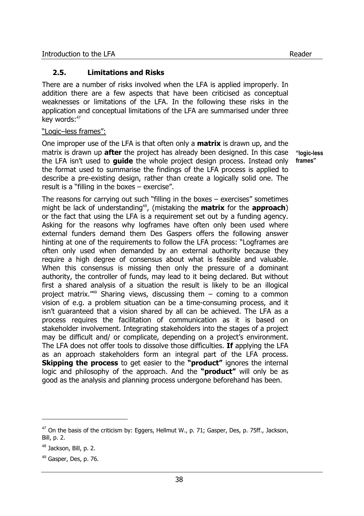## **2.5. Limitations and Risks**

There are a number of risks involved when the LFA is applied improperly. In addition there are a few aspects that have been criticised as conceptual weaknesses or limitations of the LFA. In the following these risks in the application and conceptual limitations of the LFA are summarised under three key words:<sup>47</sup>

#### "Logic–less frames":

One improper use of the LFA is that often only a **matrix** is drawn up, and the matrix is drawn up **after** the project has already been designed. In this case the LFA isn't used to **guide** the whole project design process. Instead only the format used to summarise the findings of the LFA process is applied to describe a pre-existing design, rather than create a logically solid one. The result is a "filling in the boxes – exercise".

**"logic-less frames"** 

The reasons for carrying out such "filling in the boxes – exercises" sometimes might be lack of understanding<sup>48</sup>, (mistaking the **matrix** for the **approach**) or the fact that using the LFA is a requirement set out by a funding agency. Asking for the reasons why logframes have often only been used where external funders demand them Des Gaspers offers the following answer hinting at one of the requirements to follow the LFA process: "Logframes are often only used when demanded by an external authority because they require a high degree of consensus about what is feasible and valuable. When this consensus is missing then only the pressure of a dominant authority, the controller of funds, may lead to it being declared. But without first a shared analysis of a situation the result is likely to be an illogical project matrix.<sup> $449$ </sup> Sharing views, discussing them  $-$  coming to a common vision of e.g. a problem situation can be a time-consuming process, and it isn't guaranteed that a vision shared by all can be achieved. The LFA as a process requires the facilitation of communication as it is based on stakeholder involvement. Integrating stakeholders into the stages of a project may be difficult and/ or complicate, depending on a project's environment. The LFA does not offer tools to dissolve those difficulties. **If** applying the LFA as an approach stakeholders form an integral part of the LFA process. **Skipping the process** to get easier to the **"product"** ignores the internal logic and philosophy of the approach. And the **"product"** will only be as good as the analysis and planning process undergone beforehand has been.

l

 $47$  On the basis of the criticism by: Eggers, Hellmut W., p. 71; Gasper, Des, p. 75ff., Jackson, Bill, p. 2.

<sup>&</sup>lt;sup>48</sup> Jackson, Bill, p. 2.

 $49$  Gasper, Des, p. 76.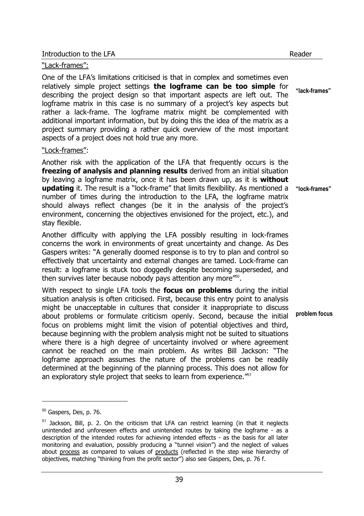#### "Lack-frames":

One of the LFA's limitations criticised is that in complex and sometimes even relatively simple project settings **the logframe can be too simple** for describing the project design so that important aspects are left out. The logframe matrix in this case is no summary of a project's key aspects but rather a lack-frame. The logframe matrix might be complemented with additional important information, but by doing this the idea of the matrix as a project summary providing a rather quick overview of the most important aspects of a project does not hold true any more.

#### "Lock-frames":

Another risk with the application of the LFA that frequently occurs is the **freezing of analysis and planning results** derived from an initial situation by leaving a logframe matrix, once it has been drawn up, as it is **without updating** it. The result is a "lock-frame" that limits flexibility. As mentioned a number of times during the introduction to the LFA, the logframe matrix should always reflect changes (be it in the analysis of the project's environment, concerning the objectives envisioned for the project, etc.), and stay flexible.

Another difficulty with applying the LFA possibly resulting in lock-frames concerns the work in environments of great uncertainty and change. As Des Gaspers writes: "A generally doomed response is to try to plan and control so effectively that uncertainty and external changes are tamed. Lock-frame can result: a logframe is stuck too doggedly despite becoming superseded, and then survives later because nobody pays attention any more"<sup>50</sup>.

With respect to single LFA tools the **focus on problems** during the initial situation analysis is often criticised. First, because this entry point to analysis might be unacceptable in cultures that consider it inappropriate to discuss about problems or formulate criticism openly. Second, because the initial focus on problems might limit the vision of potential objectives and third, because beginning with the problem analysis might not be suited to situations where there is a high degree of uncertainty involved or where agreement cannot be reached on the main problem. As writes Bill Jackson: "The logframe approach assumes the nature of the problems can be readily determined at the beginning of the planning process. This does not allow for an exploratory style project that seeks to learn from experience."<sup>51</sup>

j

**"lock-frames"** 

**"lack-frames"** 

<sup>50</sup> Gaspers, Des, p. 76.

 $51$  Jackson, Bill, p. 2. On the criticism that LFA can restrict learning (in that it neglects unintended and unforeseen effects and unintended routes by taking the logframe - as a description of the intended routes for achieving intended effects - as the basis for all later monitoring and evaluation, possibly producing a "tunnel vision") and the neglect of values about process as compared to values of products (reflected in the step wise hierarchy of objectives, matching "thinking from the profit sector") also see Gaspers, Des, p. 76 f.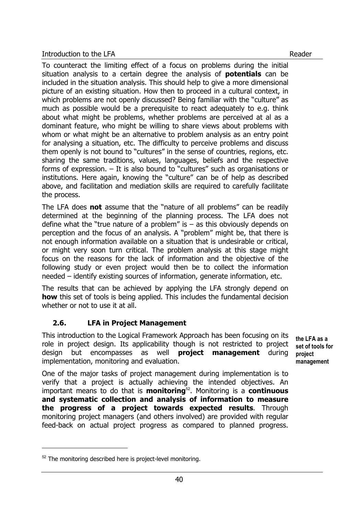To counteract the limiting effect of a focus on problems during the initial situation analysis to a certain degree the analysis of **potentials** can be included in the situation analysis. This should help to give a more dimensional picture of an existing situation. How then to proceed in a cultural context, in which problems are not openly discussed? Being familiar with the "culture" as much as possible would be a prerequisite to react adequately to e.g. think about what might be problems, whether problems are perceived at al as a dominant feature, who might be willing to share views about problems with whom or what might be an alternative to problem analysis as an entry point for analysing a situation, etc. The difficulty to perceive problems and discuss them openly is not bound to "cultures" in the sense of countries, regions, etc. sharing the same traditions, values, languages, beliefs and the respective forms of expression. – It is also bound to "cultures" such as organisations or institutions. Here again, knowing the "culture" can be of help as described above, and facilitation and mediation skills are required to carefully facilitate the process.

The LFA does **not** assume that the "nature of all problems" can be readily determined at the beginning of the planning process. The LFA does not define what the "true nature of a problem" is  $-$  as this obviously depends on perception and the focus of an analysis. A "problem" might be, that there is not enough information available on a situation that is undesirable or critical, or might very soon turn critical. The problem analysis at this stage might focus on the reasons for the lack of information and the objective of the following study or even project would then be to collect the information needed – identify existing sources of information, generate information, etc.

The results that can be achieved by applying the LFA strongly depend on **how** this set of tools is being applied. This includes the fundamental decision whether or not to use it at all.

# **2.6. LFA in Project Management**

This introduction to the Logical Framework Approach has been focusing on its role in project design. Its applicability though is not restricted to project design but encompasses as well **project management** during implementation, monitoring and evaluation.

**the LFA as a set of tools for project management** 

One of the major tasks of project management during implementation is to verify that a project is actually achieving the intended objectives. An important means to do that is **monitoring**<sup>52</sup>. Monitoring is a **continuous and systematic collection and analysis of information to measure the progress of a project towards expected results**. Through monitoring project managers (and others involved) are provided with regular feed-back on actual project progress as compared to planned progress.

<sup>&</sup>lt;sup>52</sup> The monitoring described here is project-level monitoring.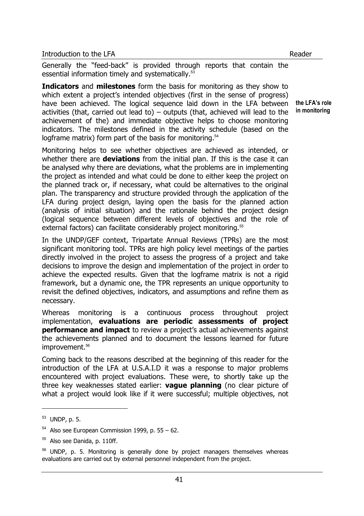Generally the "feed-back" is provided through reports that contain the essential information timely and systematically.<sup>53</sup>

**Indicators** and **milestones** form the basis for monitoring as they show to which extent a project's intended objectives (first in the sense of progress) have been achieved. The logical sequence laid down in the LFA between activities (that, carried out lead to) – outputs (that, achieved will lead to the achievement of the) and immediate objective helps to choose monitoring indicators. The milestones defined in the activity schedule (based on the logframe matrix) form part of the basis for monitoring.<sup>54</sup>

Monitoring helps to see whether objectives are achieved as intended, or whether there are **deviations** from the initial plan. If this is the case it can be analysed why there are deviations, what the problems are in implementing the project as intended and what could be done to either keep the project on the planned track or, if necessary, what could be alternatives to the original plan. The transparency and structure provided through the application of the LFA during project design, laying open the basis for the planned action (analysis of initial situation) and the rationale behind the project design (logical sequence between different levels of objectives and the role of external factors) can facilitate considerably project monitoring.<sup>55</sup>

In the UNDP/GEF context, Tripartate Annual Reviews (TPRs) are the most significant monitoring tool. TPRs are high policy level meetings of the parties directly involved in the project to assess the progress of a project and take decisions to improve the design and implementation of the project in order to achieve the expected results. Given that the logframe matrix is not a rigid framework, but a dynamic one, the TPR represents an unique opportunity to revisit the defined objectives, indicators, and assumptions and refine them as necessary.

Whereas monitoring is a continuous process throughout project implementation, **evaluations are periodic assessments of project performance and impact** to review a project's actual achievements against the achievements planned and to document the lessons learned for future improvement.<sup>56</sup>

Coming back to the reasons described at the beginning of this reader for the introduction of the LFA at U.S.A.I.D it was a response to major problems encountered with project evaluations. These were, to shortly take up the three key weaknesses stated earlier: **vague planning** (no clear picture of what a project would look like if it were successful; multiple objectives, not

l

**the LFA's role in monitoring** 

<sup>53</sup> UNDP, p. 5.

 $54$  Also see European Commission 1999, p. 55 – 62.

 $55$  Also see Danida, p. 110ff.

 $56$  UNDP, p. 5. Monitoring is generally done by project managers themselves whereas evaluations are carried out by external personnel independent from the project.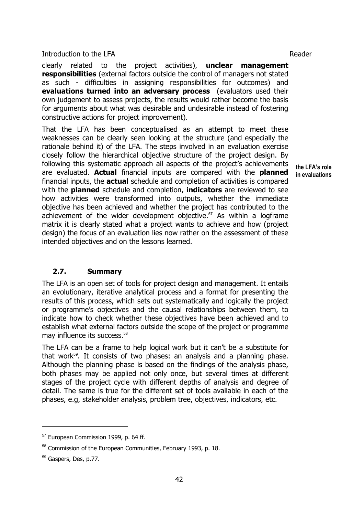clearly related to the project activities), **unclear management responsibilities** (external factors outside the control of managers not stated as such - difficulties in assigning responsibilities for outcomes) and **evaluations turned into an adversary process** (evaluators used their own judgement to assess projects, the results would rather become the basis for arguments about what was desirable and undesirable instead of fostering constructive actions for project improvement).

That the LFA has been conceptualised as an attempt to meet these weaknesses can be clearly seen looking at the structure (and especially the rationale behind it) of the LFA. The steps involved in an evaluation exercise closely follow the hierarchical objective structure of the project design. By following this systematic approach all aspects of the project's achievements are evaluated. **Actual** financial inputs are compared with the **planned** financial inputs, the **actual** schedule and completion of activities is compared with the **planned** schedule and completion, **indicators** are reviewed to see how activities were transformed into outputs, whether the immediate objective has been achieved and whether the project has contributed to the achievement of the wider development objective. $57$  As within a logframe matrix it is clearly stated what a project wants to achieve and how (project design) the focus of an evaluation lies now rather on the assessment of these intended objectives and on the lessons learned.

## **2.7. Summary**

The LFA is an open set of tools for project design and management. It entails an evolutionary, iterative analytical process and a format for presenting the results of this process, which sets out systematically and logically the project or programme's objectives and the causal relationships between them, to indicate how to check whether these objectives have been achieved and to establish what external factors outside the scope of the project or programme may influence its success.<sup>58</sup>

The LFA can be a frame to help logical work but it can't be a substitute for that work<sup>59</sup>. It consists of two phases: an analysis and a planning phase. Although the planning phase is based on the findings of the analysis phase, both phases may be applied not only once, but several times at different stages of the project cycle with different depths of analysis and degree of detail. The same is true for the different set of tools available in each of the phases, e.g, stakeholder analysis, problem tree, objectives, indicators, etc.

l

**the LFA's role in evaluations** 

<sup>&</sup>lt;sup>57</sup> European Commission 1999, p. 64 ff.

<sup>&</sup>lt;sup>58</sup> Commission of the European Communities, February 1993, p. 18.

<sup>59</sup> Gaspers, Des, p.77.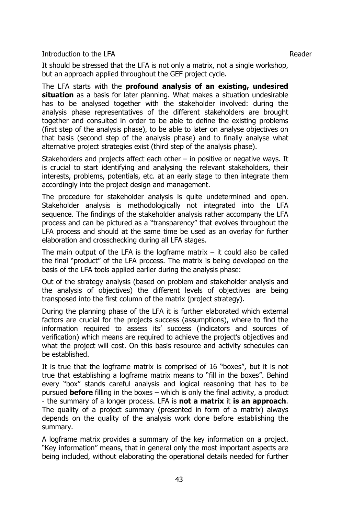It should be stressed that the LFA is not only a matrix, not a single workshop, but an approach applied throughout the GEF project cycle.

The LFA starts with the **profound analysis of an existing, undesired situation** as a basis for later planning. What makes a situation undesirable has to be analysed together with the stakeholder involved: during the analysis phase representatives of the different stakeholders are brought together and consulted in order to be able to define the existing problems (first step of the analysis phase), to be able to later on analyse objectives on that basis (second step of the analysis phase) and to finally analyse what alternative project strategies exist (third step of the analysis phase).

Stakeholders and projects affect each other – in positive or negative ways. It is crucial to start identifying and analysing the relevant stakeholders, their interests, problems, potentials, etc. at an early stage to then integrate them accordingly into the project design and management.

The procedure for stakeholder analysis is quite undetermined and open. Stakeholder analysis is methodologically not integrated into the LFA sequence. The findings of the stakeholder analysis rather accompany the LFA process and can be pictured as a "transparency" that evolves throughout the LFA process and should at the same time be used as an overlay for further elaboration and crosschecking during all LFA stages.

The main output of the LFA is the logframe matrix  $-$  it could also be called the final "product" of the LFA process. The matrix is being developed on the basis of the LFA tools applied earlier during the analysis phase:

Out of the strategy analysis (based on problem and stakeholder analysis and the analysis of objectives) the different levels of objectives are being transposed into the first column of the matrix (project strategy).

During the planning phase of the LFA it is further elaborated which external factors are crucial for the projects success (assumptions), where to find the information required to assess its' success (indicators and sources of verification) which means are required to achieve the project's objectives and what the project will cost. On this basis resource and activity schedules can be established.

It is true that the logframe matrix is comprised of 16 "boxes", but it is not true that establishing a logframe matrix means to "fill in the boxes". Behind every "box" stands careful analysis and logical reasoning that has to be pursued **before** filling in the boxes – which is only the final activity, a product - the summary of a longer process. LFA is **not a matrix** it **is an approach**. The quality of a project summary (presented in form of a matrix) always depends on the quality of the analysis work done before establishing the summary.

A logframe matrix provides a summary of the key information on a project. "Key information" means, that in general only the most important aspects are being included, without elaborating the operational details needed for further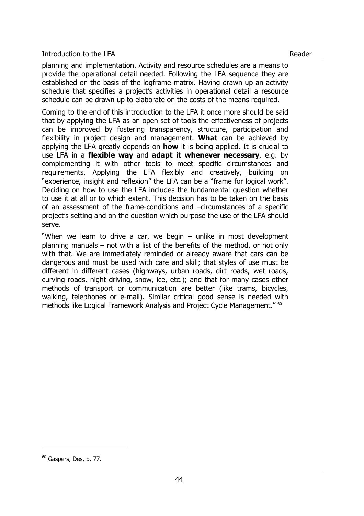planning and implementation. Activity and resource schedules are a means to provide the operational detail needed. Following the LFA sequence they are established on the basis of the logframe matrix. Having drawn up an activity schedule that specifies a project's activities in operational detail a resource schedule can be drawn up to elaborate on the costs of the means required.

Coming to the end of this introduction to the LFA it once more should be said that by applying the LFA as an open set of tools the effectiveness of projects can be improved by fostering transparency, structure, participation and flexibility in project design and management. **What** can be achieved by applying the LFA greatly depends on **how** it is being applied. It is crucial to use LFA in a **flexible way** and **adapt it whenever necessary**, e.g. by complementing it with other tools to meet specific circumstances and requirements. Applying the LFA flexibly and creatively, building on "experience, insight and reflexion" the LFA can be a "frame for logical work". Deciding on how to use the LFA includes the fundamental question whether to use it at all or to which extent. This decision has to be taken on the basis of an assessment of the frame-conditions and –circumstances of a specific project's setting and on the question which purpose the use of the LFA should serve.

"When we learn to drive a car, we begin – unlike in most development planning manuals – not with a list of the benefits of the method, or not only with that. We are immediately reminded or already aware that cars can be dangerous and must be used with care and skill; that styles of use must be different in different cases (highways, urban roads, dirt roads, wet roads, curving roads, night driving, snow, ice, etc.); and that for many cases other methods of transport or communication are better (like trams, bicycles, walking, telephones or e-mail). Similar critical good sense is needed with methods like Logical Framework Analysis and Project Cycle Management." <sup>60</sup>

<sup>&</sup>lt;sup>60</sup> Gaspers, Des, p. 77.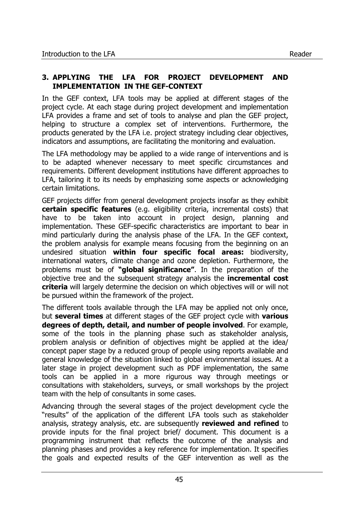## **3. APPLYING THE LFA FOR PROJECT DEVELOPMENT AND IMPLEMENTATION IN THE GEF-CONTEXT**

In the GEF context, LFA tools may be applied at different stages of the project cycle. At each stage during project development and implementation LFA provides a frame and set of tools to analyse and plan the GEF project, helping to structure a complex set of interventions. Furthermore, the products generated by the LFA i.e. project strategy including clear objectives, indicators and assumptions, are facilitating the monitoring and evaluation.

The LFA methodology may be applied to a wide range of interventions and is to be adapted whenever necessary to meet specific circumstances and requirements. Different development institutions have different approaches to LFA, tailoring it to its needs by emphasizing some aspects or acknowledging certain limitations.

GEF projects differ from general development projects insofar as they exhibit **certain specific features** (e.g. eligibility criteria, incremental costs) that have to be taken into account in project design, planning and implementation. These GEF-specific characteristics are important to bear in mind particularly during the analysis phase of the LFA. In the GEF context, the problem analysis for example means focusing from the beginning on an undesired situation **within four specific focal areas:** biodiversity, international waters, climate change and ozone depletion. Furthermore, the problems must be of **"global significance"**. In the preparation of the objective tree and the subsequent strategy analysis the **incremental cost criteria** will largely determine the decision on which objectives will or will not be pursued within the framework of the project.

The different tools available through the LFA may be applied not only once, but **several times** at different stages of the GEF project cycle with **various degrees of depth, detail, and number of people involved**. For example, some of the tools in the planning phase such as stakeholder analysis, problem analysis or definition of objectives might be applied at the idea/ concept paper stage by a reduced group of people using reports available and general knowledge of the situation linked to global environmental issues. At a later stage in project development such as PDF implementation, the same tools can be applied in a more rigurous way through meetings or consultations with stakeholders, surveys, or small workshops by the project team with the help of consultants in some cases.

Advancing through the several stages of the project development cycle the "results" of the application of the different LFA tools such as stakeholder analysis, strategy analysis, etc. are subsequently **reviewed and refined** to provide inputs for the final project brief/ document. This document is a programming instrument that reflects the outcome of the analysis and planning phases and provides a key reference for implementation. It specifies the goals and expected results of the GEF intervention as well as the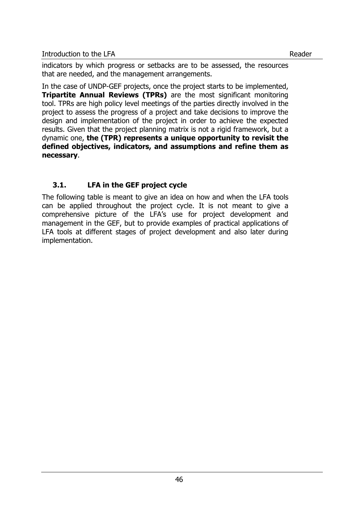indicators by which progress or setbacks are to be assessed, the resources that are needed, and the management arrangements.

In the case of UNDP-GEF projects, once the project starts to be implemented, **Tripartite Annual Reviews (TPRs)** are the most significant monitoring tool. TPRs are high policy level meetings of the parties directly involved in the project to assess the progress of a project and take decisions to improve the design and implementation of the project in order to achieve the expected results. Given that the project planning matrix is not a rigid framework, but a dynamic one, **the (TPR) represents a unique opportunity to revisit the defined objectives, indicators, and assumptions and refine them as necessary**.

# **3.1. LFA in the GEF project cycle**

The following table is meant to give an idea on how and when the LFA tools can be applied throughout the project cycle. It is not meant to give a comprehensive picture of the LFA's use for project development and management in the GEF, but to provide examples of practical applications of LFA tools at different stages of project development and also later during implementation.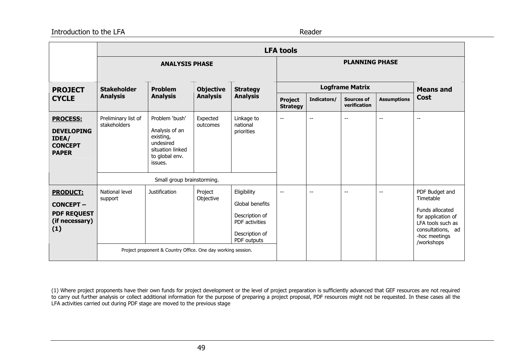#### Introduction to the LFA

Reader

|                                                                                    |                                       |                                                                                                             |                      |                                                                                                     | <b>LFA tools</b>                  |                          |                                   |                    |                                                                                                                                               |
|------------------------------------------------------------------------------------|---------------------------------------|-------------------------------------------------------------------------------------------------------------|----------------------|-----------------------------------------------------------------------------------------------------|-----------------------------------|--------------------------|-----------------------------------|--------------------|-----------------------------------------------------------------------------------------------------------------------------------------------|
|                                                                                    | <b>ANALYSIS PHASE</b>                 |                                                                                                             |                      |                                                                                                     |                                   | <b>PLANNING PHASE</b>    |                                   |                    |                                                                                                                                               |
|                                                                                    |                                       |                                                                                                             |                      |                                                                                                     |                                   |                          | <b>Logframe Matrix</b>            |                    |                                                                                                                                               |
| <b>PROJECT</b><br><b>CYCLE</b>                                                     | <b>Stakeholder</b><br><b>Analysis</b> | <b>Problem</b><br><b>Analysis</b>                                                                           | <b>Analysis</b>      | <b>Objective</b><br><b>Strategy</b><br><b>Analysis</b>                                              | <b>Project</b><br><b>Strategy</b> | Indicators/              | <b>Sources of</b><br>verification | <b>Assumptions</b> | <b>Means and</b><br><b>Cost</b>                                                                                                               |
| <b>PROCESS:</b><br><b>DEVELOPING</b><br>IDEA/<br><b>CONCEPT</b><br><b>PAPER</b>    | Preliminary list of<br>stakeholders   | Problem 'bush'<br>Analysis of an<br>existing,<br>undesired<br>situation linked<br>to global env.<br>issues. | Expected<br>outcomes | Linkage to<br>national<br>priorities                                                                | $\overline{\phantom{a}}$          | $\overline{\phantom{a}}$ | $-$                               | $-$                | $-$                                                                                                                                           |
|                                                                                    |                                       | Small group brainstorming.                                                                                  |                      |                                                                                                     |                                   |                          |                                   |                    |                                                                                                                                               |
| <b>PRODUCT:</b><br><b>CONCEPT -</b><br><b>PDF REQUEST</b><br>(if necessary)<br>(1) | National level<br>support             | <b>Justification</b>                                                                                        | Project<br>Objective | Eligibility<br>Global benefits<br>Description of<br>PDF activities<br>Description of<br>PDF outputs | $\overline{\phantom{a}}$          | $\overline{\phantom{a}}$ | $\overline{\phantom{m}}$          | $-$                | PDF Budget and<br>Timetable<br>Funds allocated<br>for application of<br>LFA tools such as<br>consultations, ad<br>-hoc meetings<br>/workshops |
|                                                                                    |                                       | Project proponent & Country Office. One day working session.                                                |                      |                                                                                                     |                                   |                          |                                   |                    |                                                                                                                                               |

(1) Where project proponents have their own funds for project development or the level of project preparation is sufficiently advanced that GEF resources are not required to carry out further analysis or collect additional information for the purpose of preparing a project proposal, PDF resources might not be requested. In these cases all the LFA activities carried out during PDF stage are moved to the previous stage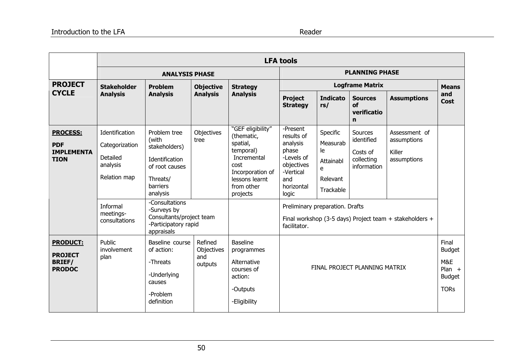|                                                    | <b>LFA tools</b>                       |                                                                                                 |                                                                                                                                                                       |                                             |                                                                     |                                                         |                                                    |                    |                    |
|----------------------------------------------------|----------------------------------------|-------------------------------------------------------------------------------------------------|-----------------------------------------------------------------------------------------------------------------------------------------------------------------------|---------------------------------------------|---------------------------------------------------------------------|---------------------------------------------------------|----------------------------------------------------|--------------------|--------------------|
|                                                    |                                        | <b>ANALYSIS PHASE</b>                                                                           |                                                                                                                                                                       | <b>PLANNING PHASE</b>                       |                                                                     |                                                         |                                                    |                    |                    |
| <b>PROJECT</b>                                     | <b>Stakeholder</b>                     | <b>Problem</b>                                                                                  | <b>Objective</b><br><b>Analysis</b>                                                                                                                                   | <b>Strategy</b><br><b>Analysis</b>          |                                                                     | <b>Means</b>                                            |                                                    |                    |                    |
| <b>CYCLE</b>                                       | <b>Analysis</b>                        | <b>Analysis</b>                                                                                 |                                                                                                                                                                       |                                             | <b>Project</b><br><b>Strategy</b>                                   | <b>Indicato</b><br>rs/                                  | <b>Sources</b><br>of<br>verificatio<br>$\mathbf n$ | <b>Assumptions</b> | and<br><b>Cost</b> |
| <b>PROCESS:</b><br><b>PDF</b><br><b>IMPLEMENTA</b> | Identification<br>Categorization       | Problem tree<br>(with<br>stakeholders)                                                          | "GEF eligibility"<br>Objectives<br>(thematic,<br>tree<br>spatial,<br>temporal)<br>Incremental<br>cost<br>Incorporation of<br>lessons learnt<br>from other<br>projects | -Present<br>results of<br>analysis<br>phase | Specific<br>Measurab<br>le                                          | Sources<br>identified<br>Costs of                       | Assessment of<br>assumptions<br>Killer             |                    |                    |
| <b>TION</b>                                        | Detailed<br>analysis                   | Identification<br>of root causes                                                                |                                                                                                                                                                       |                                             | -Levels of<br>objectives<br>-Vertical<br>and<br>horizontal<br>logic | Attainabl<br>e                                          | collecting<br>information                          | assumptions        |                    |
|                                                    | Relation map                           | Threats/<br>barriers<br>analysis                                                                |                                                                                                                                                                       |                                             |                                                                     | Relevant<br>Trackable                                   |                                                    |                    |                    |
|                                                    | Informal<br>meetings-<br>consultations | -Consultations<br>-Surveys by<br>Consultants/project team<br>-Participatory rapid<br>appraisals |                                                                                                                                                                       |                                             | Preliminary preparation. Drafts<br>facilitator.                     | Final workshop (3-5 days) Project team + stakeholders + |                                                    |                    |                    |
| <b>PRODUCT:</b><br><b>PROJECT</b>                  | Public<br>involvement<br>plan          | Baseline course<br>of action:                                                                   | Refined<br>Objectives<br>and                                                                                                                                          | <b>Baseline</b><br>programmes               |                                                                     |                                                         | Final<br><b>Budget</b>                             |                    |                    |
| <b>BRIEF/</b><br><b>PRODOC</b>                     |                                        | -Threats<br>-Underlying<br>causes                                                               | outputs                                                                                                                                                               | Alternative<br>courses of<br>action:        |                                                                     | FINAL PROJECT PLANNING MATRIX                           |                                                    |                    |                    |
|                                                    |                                        | -Problem<br>definition                                                                          |                                                                                                                                                                       | -Outputs<br>-Eligibility                    |                                                                     |                                                         |                                                    |                    |                    |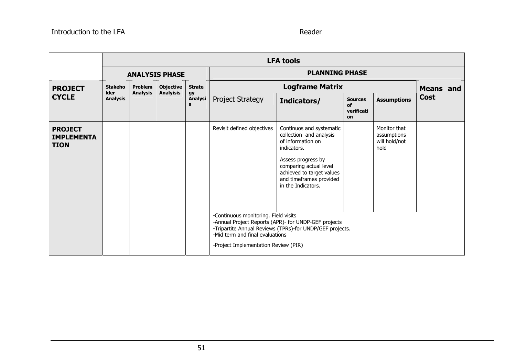|                                                    |                               |                                   |                                      |                                            |                                                                                                                                               | <b>LFA tools</b>                                                                                                                                                                                                                                                                                                                          |                                          |                                                      |             |                  |
|----------------------------------------------------|-------------------------------|-----------------------------------|--------------------------------------|--------------------------------------------|-----------------------------------------------------------------------------------------------------------------------------------------------|-------------------------------------------------------------------------------------------------------------------------------------------------------------------------------------------------------------------------------------------------------------------------------------------------------------------------------------------|------------------------------------------|------------------------------------------------------|-------------|------------------|
|                                                    | <b>ANALYSIS PHASE</b>         |                                   |                                      |                                            | <b>PLANNING PHASE</b>                                                                                                                         |                                                                                                                                                                                                                                                                                                                                           |                                          |                                                      |             |                  |
| <b>PROJECT</b>                                     | <b>Stakeho</b><br><b>Ider</b> | <b>Problem</b><br><b>Analysis</b> | <b>Objective</b><br><b>Analyisis</b> | <b>Strate</b><br><b>gy</b><br>Analysi<br>s |                                                                                                                                               | <b>Logframe Matrix</b>                                                                                                                                                                                                                                                                                                                    |                                          |                                                      |             | <b>Means</b> and |
| <b>CYCLE</b>                                       | <b>Analysis</b>               |                                   |                                      |                                            | <b>Project Strategy</b>                                                                                                                       | Indicators/                                                                                                                                                                                                                                                                                                                               | <b>Sources</b><br>of<br>verificati<br>on | <b>Assumptions</b>                                   | <b>Cost</b> |                  |
| <b>PROJECT</b><br><b>IMPLEMENTA</b><br><b>TION</b> |                               |                                   |                                      |                                            | Revisit defined objectives<br>-Continuous monitoring. Field visits<br>-Mid term and final evaluations<br>-Project Implementation Review (PIR) | Continuos and systematic<br>collection and analysis<br>of information on<br>indicators.<br>Assess progress by<br>comparing actual level<br>achieved to target values<br>and timeframes provided<br>in the Indicators.<br>-Annual Project Reports (APR)- for UNDP-GEF projects<br>-Tripartite Annual Reviews (TPRs)-for UNDP/GEF projects. |                                          | Monitor that<br>assumptions<br>will hold/not<br>hold |             |                  |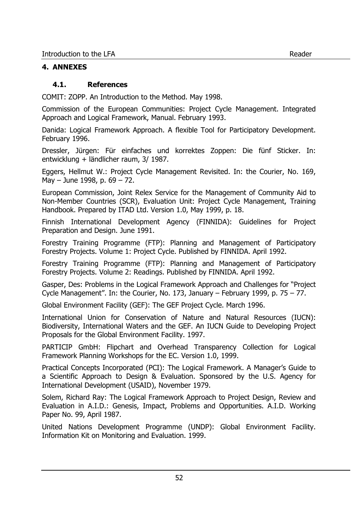## **4. ANNEXES**

## **4.1. References**

COMIT: ZOPP. An Introduction to the Method. May 1998.

Commission of the European Communities: Project Cycle Management. Integrated Approach and Logical Framework, Manual. February 1993.

Danida: Logical Framework Approach. A flexible Tool for Participatory Development. February 1996.

Dressler, Jürgen: Für einfaches und korrektes Zoppen: Die fünf Sticker. In: entwicklung + ländlicher raum, 3/ 1987.

Eggers, Hellmut W.: Project Cycle Management Revisited. In: the Courier, No. 169, May – June 1998, p. 69 – 72.

European Commission, Joint Relex Service for the Management of Community Aid to Non-Member Countries (SCR), Evaluation Unit: Project Cycle Management, Training Handbook. Prepared by ITAD Ltd. Version 1.0, May 1999, p. 18.

Finnish International Development Agency (FINNIDA): Guidelines for Project Preparation and Design. June 1991.

Forestry Training Programme (FTP): Planning and Management of Participatory Forestry Projects. Volume 1: Project Cycle. Published by FINNIDA. April 1992.

Forestry Training Programme (FTP): Planning and Management of Participatory Forestry Projects. Volume 2: Readings. Published by FINNIDA. April 1992.

Gasper, Des: Problems in the Logical Framework Approach and Challenges for "Project Cycle Management". In: the Courier, No. 173, January – February 1999, p. 75 – 77.

Global Environment Facility (GEF): The GEF Project Cycle. March 1996.

International Union for Conservation of Nature and Natural Resources (IUCN): Biodiversity, International Waters and the GEF. An IUCN Guide to Developing Project Proposals for the Global Environment Facility. 1997.

PARTICIP GmbH: Flipchart and Overhead Transparency Collection for Logical Framework Planning Workshops for the EC. Version 1.0, 1999.

Practical Concepts Incorporated (PCI): The Logical Framework. A Manager's Guide to a Scientific Approach to Design & Evaluation. Sponsored by the U.S. Agency for International Development (USAID), November 1979.

Solem, Richard Ray: The Logical Framework Approach to Project Design, Review and Evaluation in A.I.D.: Genesis, Impact, Problems and Opportunities. A.I.D. Working Paper No. 99, April 1987.

United Nations Development Programme (UNDP): Global Environment Facility. Information Kit on Monitoring and Evaluation. 1999.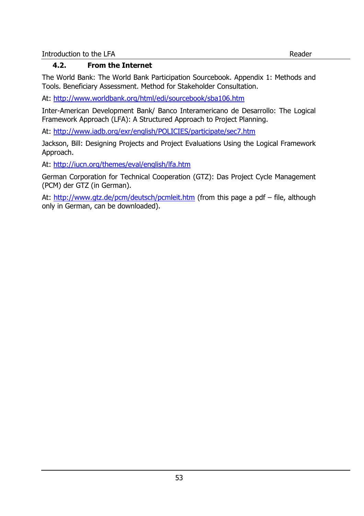# **4.2. From the Internet**

The World Bank: The World Bank Participation Sourcebook. Appendix 1: Methods and Tools. Beneficiary Assessment. Method for Stakeholder Consultation.

At: http://www.worldbank.org/html/edi/sourcebook/sba106.htm

Inter-American Development Bank/ Banco Interamericano de Desarrollo: The Logical Framework Approach (LFA): A Structured Approach to Project Planning.

At: http://www.iadb.org/exr/english/POLICIES/participate/sec7.htm

Jackson, Bill: Designing Projects and Project Evaluations Using the Logical Framework Approach.

At: http://iucn.org/themes/eval/english/lfa.htm

German Corporation for Technical Cooperation (GTZ): Das Project Cycle Management (PCM) der GTZ (in German).

At: http://www.gtz.de/pcm/deutsch/pcmleit.htm (from this page a pdf – file, although only in German, can be downloaded).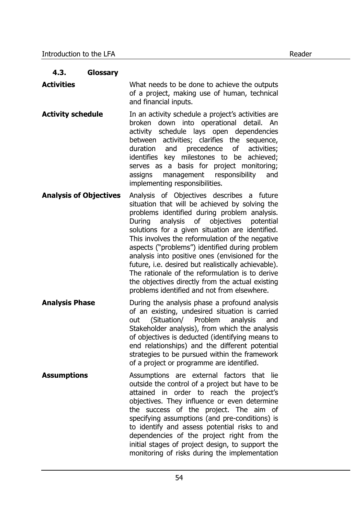## **4.3. Glossary**

**Activities** What needs to be done to achieve the outputs of a project, making use of human, technical and financial inputs.

- **Activity schedule In an activity schedule a project's activities are** broken down into operational detail. An activity schedule lays open dependencies between activities; clarifies the sequence, duration and precedence of activities; identifies key milestones to be achieved; serves as a basis for project monitoring; assigns management responsibility and implementing responsibilities.
- **Analysis of Objectives** Analysis of Objectives describes a future situation that will be achieved by solving the problems identified during problem analysis. During analysis of objectives potential solutions for a given situation are identified. This involves the reformulation of the negative aspects ("problems") identified during problem analysis into positive ones (envisioned for the future, i.e. desired but realistically achievable). The rationale of the reformulation is to derive the objectives directly from the actual existing problems identified and not from elsewhere.
- **Analysis Phase During the analysis phase a profound analysis** of an existing, undesired situation is carried out (Situation/ Problem analysis and Stakeholder analysis), from which the analysis of objectives is deducted (identifying means to end relationships) and the different potential strategies to be pursued within the framework of a project or programme are identified.
- **Assumptions** Assumptions are external factors that lie outside the control of a project but have to be attained in order to reach the project's objectives. They influence or even determine the success of the project. The aim of specifying assumptions (and pre-conditions) is to identify and assess potential risks to and dependencies of the project right from the initial stages of project design, to support the monitoring of risks during the implementation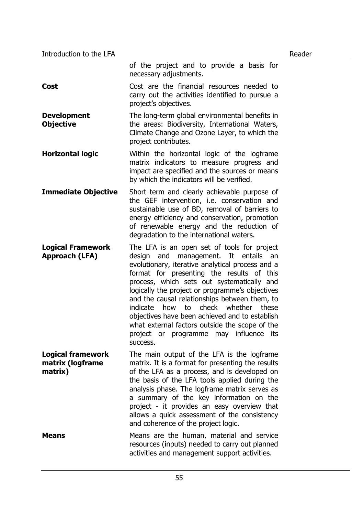|                                                         | of the project and to provide a basis for<br>necessary adjustments.                                                                                                                                                                                                                                                                                                                                                                                                                                                                                 |
|---------------------------------------------------------|-----------------------------------------------------------------------------------------------------------------------------------------------------------------------------------------------------------------------------------------------------------------------------------------------------------------------------------------------------------------------------------------------------------------------------------------------------------------------------------------------------------------------------------------------------|
| Cost                                                    | Cost are the financial resources needed to<br>carry out the activities identified to pursue a<br>project's objectives.                                                                                                                                                                                                                                                                                                                                                                                                                              |
| <b>Development</b><br><b>Objective</b>                  | The long-term global environmental benefits in<br>the areas: Biodiversity, International Waters,<br>Climate Change and Ozone Layer, to which the<br>project contributes.                                                                                                                                                                                                                                                                                                                                                                            |
| <b>Horizontal logic</b>                                 | Within the horizontal logic of the logframe<br>matrix indicators to measure progress and<br>impact are specified and the sources or means<br>by which the indicators will be verified.                                                                                                                                                                                                                                                                                                                                                              |
| <b>Immediate Objective</b>                              | Short term and clearly achievable purpose of<br>the GEF intervention, i.e. conservation and<br>sustainable use of BD, removal of barriers to<br>energy efficiency and conservation, promotion<br>of renewable energy and the reduction of<br>degradation to the international waters.                                                                                                                                                                                                                                                               |
| <b>Logical Framework</b><br>Approach (LFA)              | The LFA is an open set of tools for project<br>and management. It entails<br>design<br>an<br>evolutionary, iterative analytical process and a<br>format for presenting the results of this<br>process, which sets out systematically and<br>logically the project or programme's objectives<br>and the causal relationships between them, to<br>how to check whether these<br>indicate<br>objectives have been achieved and to establish<br>what external factors outside the scope of the<br>project or programme may influence<br>its<br>success. |
| <b>Logical framework</b><br>matrix (logframe<br>matrix) | The main output of the LFA is the logframe<br>matrix. It is a format for presenting the results<br>of the LFA as a process, and is developed on<br>the basis of the LFA tools applied during the<br>analysis phase. The logframe matrix serves as<br>a summary of the key information on the<br>project - it provides an easy overview that<br>allows a quick assessment of the consistency<br>and coherence of the project logic.                                                                                                                  |
| <b>Means</b>                                            | Means are the human, material and service<br>resources (inputs) needed to carry out planned<br>activities and management support activities.                                                                                                                                                                                                                                                                                                                                                                                                        |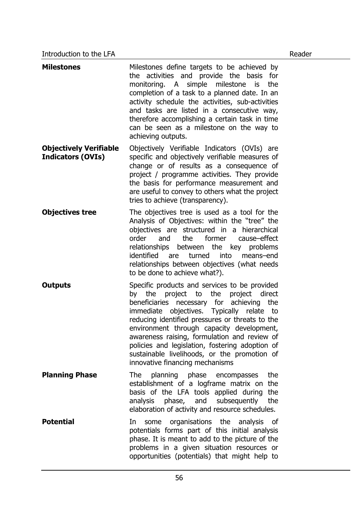| <b>Milestones</b>                                         | Milestones define targets to be achieved by<br>the activities and provide the basis<br>for<br>monitoring. A simple milestone is<br>the<br>completion of a task to a planned date. In an<br>activity schedule the activities, sub-activities<br>and tasks are listed in a consecutive way,<br>therefore accomplishing a certain task in time<br>can be seen as a milestone on the way to<br>achieving outputs.                                                         |
|-----------------------------------------------------------|-----------------------------------------------------------------------------------------------------------------------------------------------------------------------------------------------------------------------------------------------------------------------------------------------------------------------------------------------------------------------------------------------------------------------------------------------------------------------|
| <b>Objectively Verifiable</b><br><b>Indicators (OVIs)</b> | Objectively Verifiable Indicators (OVIs) are<br>specific and objectively verifiable measures of<br>change or of results as a consequence of<br>project / programme activities. They provide<br>the basis for performance measurement and<br>are useful to convey to others what the project<br>tries to achieve (transparency).                                                                                                                                       |
| <b>Objectives tree</b>                                    | The objectives tree is used as a tool for the<br>Analysis of Objectives: within the "tree" the<br>objectives are structured in a hierarchical<br>former<br>order<br>and<br>the<br>cause-effect<br>relationships between the key problems<br>identified are<br>turned<br>into means-end<br>relationships between objectives (what needs<br>to be done to achieve what?).                                                                                               |
| <b>Outputs</b>                                            | Specific products and services to be provided<br>by the project to the project direct<br>beneficiaries necessary for achieving the<br>immediate objectives. Typically relate to<br>reducing identified pressures or threats to the<br>environment through capacity development,<br>awareness raising, formulation and review of<br>policies and legislation, fostering adoption of<br>sustainable livelihoods, or the promotion of<br>innovative financing mechanisms |
| <b>Planning Phase</b>                                     | planning phase encompasses<br>the<br>The<br>establishment of a logframe matrix on<br>the<br>basis of the LFA tools applied during<br>the<br>analysis phase, and<br>subsequently<br>the<br>elaboration of activity and resource schedules.                                                                                                                                                                                                                             |
| <b>Potential</b>                                          | organisations the analysis<br>In<br>some<br>0f<br>potentials forms part of this initial analysis<br>phase. It is meant to add to the picture of the<br>problems in a given situation resources or<br>opportunities (potentials) that might help to                                                                                                                                                                                                                    |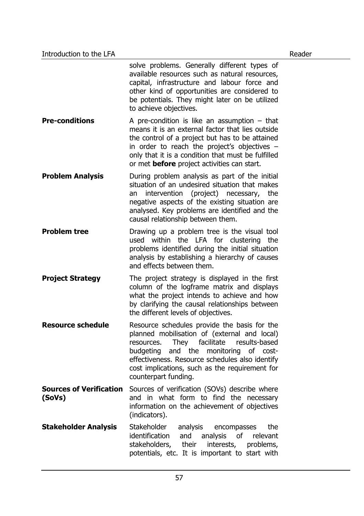|                             | solve problems. Generally different types of<br>available resources such as natural resources,<br>capital, infrastructure and labour force and<br>other kind of opportunities are considered to<br>be potentials. They might later on be utilized<br>to achieve objectives.                                         |
|-----------------------------|---------------------------------------------------------------------------------------------------------------------------------------------------------------------------------------------------------------------------------------------------------------------------------------------------------------------|
| <b>Pre-conditions</b>       | A pre-condition is like an assumption $-$ that<br>means it is an external factor that lies outside<br>the control of a project but has to be attained<br>in order to reach the project's objectives $-$<br>only that it is a condition that must be fulfilled<br>or met <b>before</b> project activities can start. |
| <b>Problem Analysis</b>     | During problem analysis as part of the initial<br>situation of an undesired situation that makes<br>intervention (project) necessary,<br>the<br>an<br>negative aspects of the existing situation are<br>analysed. Key problems are identified and the<br>causal relationship between them.                          |
| <b>Problem tree</b>         | Drawing up a problem tree is the visual tool<br>used within the LFA for clustering<br>the<br>problems identified during the initial situation<br>analysis by establishing a hierarchy of causes<br>and effects between them.                                                                                        |
| <b>Project Strategy</b>     | The project strategy is displayed in the first<br>column of the logframe matrix and displays<br>what the project intends to achieve and how<br>by clarifying the causal relationships between<br>the different levels of objectives.                                                                                |
| <b>Resource schedule</b>    | Resource schedules provide the basis for the<br>planned mobilisation of (external and local)<br>resources. They facilitate results-based<br>budgeting and the monitoring of cost-<br>effectiveness. Resource schedules also identify<br>cost implications, such as the requirement for<br>counterpart funding.      |
| (SoVs)                      | <b>Sources of Verification</b> Sources of verification (SOVs) describe where<br>and in what form to find the necessary<br>information on the achievement of objectives<br>(indicators).                                                                                                                             |
| <b>Stakeholder Analysis</b> | Stakeholder analysis<br>encompasses<br>the<br>identification and analysis of relevant<br>stakeholders, their<br>interests,<br>problems,<br>potentials, etc. It is important to start with                                                                                                                           |